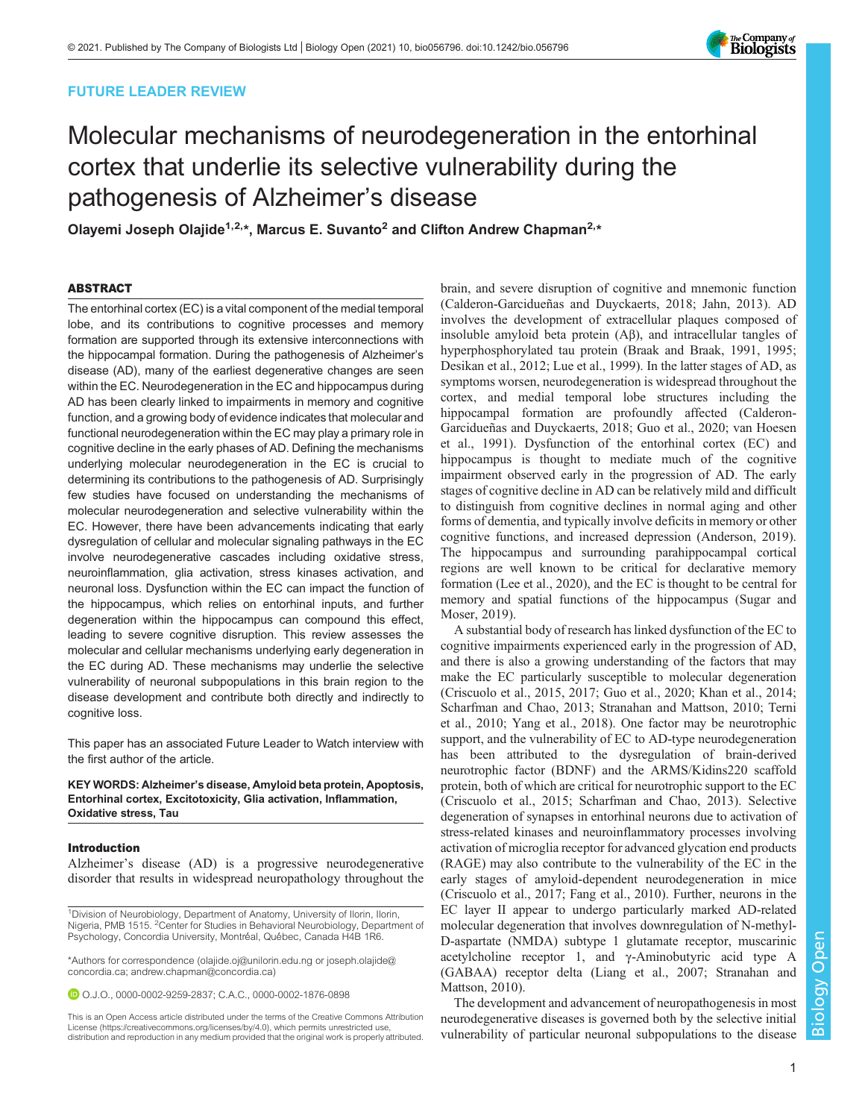# FUTURE LEADER REVIEW



# Molecular mechanisms of neurodegeneration in the entorhinal cortex that underlie its selective vulnerability during the pathogenesis of Alzheimer's disease

Olayemi Joseph Olajide<sup>1,2,\*</sup>, Marcus E. Suvanto<sup>2</sup> and Clifton Andrew Chapman<sup>2,\*</sup>

#### ABSTRACT

The entorhinal cortex (EC) is a vital component of the medial temporal lobe, and its contributions to cognitive processes and memory formation are supported through its extensive interconnections with the hippocampal formation. During the pathogenesis of Alzheimer's disease (AD), many of the earliest degenerative changes are seen within the EC. Neurodegeneration in the EC and hippocampus during AD has been clearly linked to impairments in memory and cognitive function, and a growing body of evidence indicates that molecular and functional neurodegeneration within the EC may play a primary role in cognitive decline in the early phases of AD. Defining the mechanisms underlying molecular neurodegeneration in the EC is crucial to determining its contributions to the pathogenesis of AD. Surprisingly few studies have focused on understanding the mechanisms of molecular neurodegeneration and selective vulnerability within the EC. However, there have been advancements indicating that early dysregulation of cellular and molecular signaling pathways in the EC involve neurodegenerative cascades including oxidative stress, neuroinflammation, glia activation, stress kinases activation, and neuronal loss. Dysfunction within the EC can impact the function of the hippocampus, which relies on entorhinal inputs, and further degeneration within the hippocampus can compound this effect, leading to severe cognitive disruption. This review assesses the molecular and cellular mechanisms underlying early degeneration in the EC during AD. These mechanisms may underlie the selective vulnerability of neuronal subpopulations in this brain region to the disease development and contribute both directly and indirectly to cognitive loss.

[This paper has an associated Future Leader to Watch interview with](https://doi.org/10.1242/bio.058548) [the first author of the article.](https://doi.org/10.1242/bio.058548)

KEY WORDS: Alzheimer's disease, Amyloid beta protein, Apoptosis, Entorhinal cortex, Excitotoxicity, Glia activation, Inflammation, Oxidative stress, Tau

#### Introduction

Alzheimer's disease (AD) is a progressive neurodegenerative disorder that results in widespread neuropathology throughout the

<sup>1</sup> Division of Neurobiology, Department of Anatomy, University of Ilorin, Ilorin, Nigeria, PMB 1515. <sup>2</sup> Center for Studies in Behavioral Neurobiology, Department of Psychology, Concordia University, Montréal, Québec, Canada H4B 1R6.

\*Authors for correspondence ([olajide.oj@unilorin.edu.ng](mailto:olajide.oj@unilorin.edu.ng) or [joseph.olajide@](mailto:joseph.olajide@concordia.ca) [concordia.ca;](mailto:joseph.olajide@concordia.ca) [andrew.chapman@concordia.ca](mailto:andrew.chapman@concordia.ca))

O.J.O., [0000-0002-9259-2837;](http://orcid.org/0000-0002-9259-2837) C.A.C., [0000-0002-1876-0898](http://orcid.org/0000-0002-1876-0898)

This is an Open Access article distributed under the terms of the Creative Commons Attribution License (https://creativecommons.org/licenses/by/4.0), which permits unrestricted use, distribution and reproduction in any medium provided that the original work is properly attributed.

brain, and severe disruption of cognitive and mnemonic function [\(Calderon-Garcidueñas and Duyckaerts, 2018;](#page-8-0) [Jahn, 2013\)](#page-9-0). AD involves the development of extracellular plaques composed of insoluble amyloid beta protein (Aβ), and intracellular tangles of hyperphosphorylated tau protein [\(Braak and Braak, 1991](#page-7-0), [1995](#page-7-0); [Desikan et al., 2012;](#page-8-0) [Lue et al., 1999](#page-9-0)). In the latter stages of AD, as symptoms worsen, neurodegeneration is widespread throughout the cortex, and medial temporal lobe structures including the hippocampal formation are profoundly affected ([Calderon-](#page-8-0)[Garcidueñas and Duyckaerts, 2018; Guo et al., 2020;](#page-8-0) [van Hoesen](#page-11-0) [et al., 1991](#page-11-0)). Dysfunction of the entorhinal cortex (EC) and hippocampus is thought to mediate much of the cognitive impairment observed early in the progression of AD. The early stages of cognitive decline in AD can be relatively mild and difficult to distinguish from cognitive declines in normal aging and other forms of dementia, and typically involve deficits in memory or other cognitive functions, and increased depression [\(Anderson, 2019\)](#page-7-0). The hippocampus and surrounding parahippocampal cortical regions are well known to be critical for declarative memory formation [\(Lee et al., 2020\)](#page-9-0), and the EC is thought to be central for memory and spatial functions of the hippocampus ([Sugar and](#page-10-0) [Moser, 2019](#page-10-0)).

A substantial body of research has linked dysfunction of the EC to cognitive impairments experienced early in the progression of AD, and there is also a growing understanding of the factors that may make the EC particularly susceptible to molecular degeneration [\(Criscuolo et al., 2015, 2017; Guo et al., 2020;](#page-8-0) [Khan et al., 2014](#page-9-0); [Scharfman and Chao, 2013](#page-10-0); [Stranahan and Mattson, 2010](#page-10-0); [Terni](#page-10-0) [et al., 2010](#page-10-0); [Yang et al., 2018\)](#page-11-0). One factor may be neurotrophic support, and the vulnerability of EC to AD-type neurodegeneration has been attributed to the dysregulation of brain-derived neurotrophic factor (BDNF) and the ARMS/Kidins220 scaffold protein, both of which are critical for neurotrophic support to the EC [\(Criscuolo et al., 2015;](#page-8-0) [Scharfman and Chao, 2013\)](#page-10-0). Selective degeneration of synapses in entorhinal neurons due to activation of stress-related kinases and neuroinflammatory processes involving activation of microglia receptor for advanced glycation end products (RAGE) may also contribute to the vulnerability of the EC in the early stages of amyloid-dependent neurodegeneration in mice [\(Criscuolo et al., 2017; Fang et al., 2010](#page-8-0)). Further, neurons in the EC layer II appear to undergo particularly marked AD-related molecular degeneration that involves downregulation of N-methyl-D-aspartate (NMDA) subtype 1 glutamate receptor, muscarinic acetylcholine receptor 1, and γ-Aminobutyric acid type A (GABAA) receptor delta [\(Liang et al., 2007](#page-9-0); [Stranahan and](#page-10-0) [Mattson, 2010\)](#page-10-0).

The development and advancement of neuropathogenesis in most neurodegenerative diseases is governed both by the selective initial vulnerability of particular neuronal subpopulations to the disease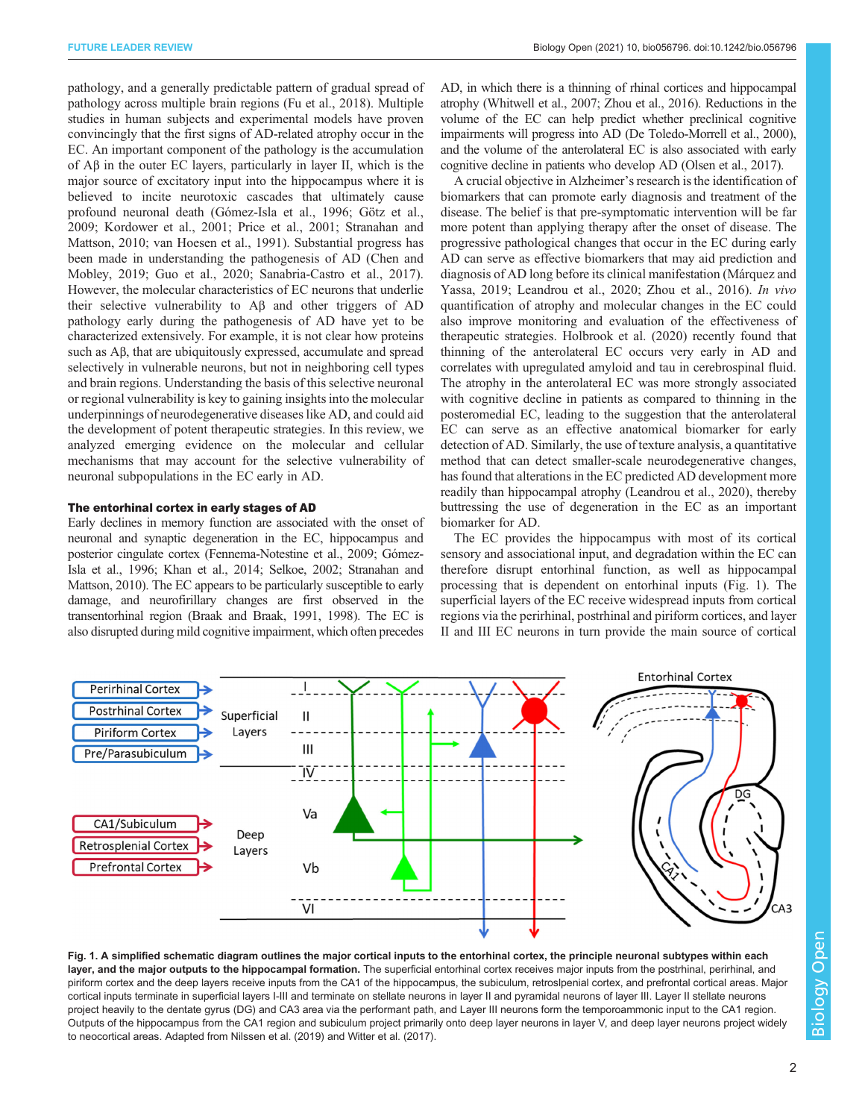pathology, and a generally predictable pattern of gradual spread of pathology across multiple brain regions ([Fu et al., 2018](#page-8-0)). Multiple studies in human subjects and experimental models have proven convincingly that the first signs of AD-related atrophy occur in the EC. An important component of the pathology is the accumulation of Aβ in the outer EC layers, particularly in layer II, which is the major source of excitatory input into the hippocampus where it is believed to incite neurotoxic cascades that ultimately cause profound neuronal death [\(Gómez-Isla et al., 1996](#page-8-0); [Götz et al.,](#page-8-0) [2009](#page-8-0); [Kordower et al., 2001;](#page-9-0) [Price et al., 2001; Stranahan and](#page-10-0) [Mattson, 2010](#page-10-0); [van Hoesen et al., 1991\)](#page-11-0). Substantial progress has been made in understanding the pathogenesis of AD [\(Chen and](#page-8-0) [Mobley, 2019; Guo et al., 2020;](#page-8-0) [Sanabria-Castro et al., 2017\)](#page-10-0). However, the molecular characteristics of EC neurons that underlie their selective vulnerability to Aβ and other triggers of AD pathology early during the pathogenesis of AD have yet to be characterized extensively. For example, it is not clear how proteins such as Aβ, that are ubiquitously expressed, accumulate and spread selectively in vulnerable neurons, but not in neighboring cell types and brain regions. Understanding the basis of this selective neuronal or regional vulnerability is key to gaining insights into the molecular underpinnings of neurodegenerative diseases like AD, and could aid the development of potent therapeutic strategies. In this review, we analyzed emerging evidence on the molecular and cellular mechanisms that may account for the selective vulnerability of neuronal subpopulations in the EC early in AD.

#### The entorhinal cortex in early stages of AD

Early declines in memory function are associated with the onset of neuronal and synaptic degeneration in the EC, hippocampus and posterior cingulate cortex [\(Fennema-Notestine et al., 2009; Gómez-](#page-8-0)[Isla et al., 1996](#page-8-0); [Khan et al., 2014;](#page-9-0) [Selkoe, 2002; Stranahan and](#page-10-0) [Mattson, 2010](#page-10-0)). The EC appears to be particularly susceptible to early damage, and neurofirillary changes are first observed in the transentorhinal region [\(Braak and Braak, 1991](#page-7-0), [1998](#page-7-0)). The EC is also disrupted during mild cognitive impairment, which often precedes AD, in which there is a thinning of rhinal cortices and hippocampal atrophy [\(Whitwell et al., 2007; Zhou et al., 2016](#page-11-0)). Reductions in the volume of the EC can help predict whether preclinical cognitive impairments will progress into AD [\(De Toledo-Morrell et al., 2000\)](#page-8-0), and the volume of the anterolateral EC is also associated with early cognitive decline in patients who develop AD [\(Olsen et al., 2017\)](#page-10-0).

A crucial objective in Alzheimer's research is the identification of biomarkers that can promote early diagnosis and treatment of the disease. The belief is that pre-symptomatic intervention will be far more potent than applying therapy after the onset of disease. The progressive pathological changes that occur in the EC during early AD can serve as effective biomarkers that may aid prediction and diagnosis of AD long before its clinical manifestation ([Márquez and](#page-9-0) [Yassa, 2019; Leandrou et al., 2020](#page-9-0); [Zhou et al., 2016](#page-11-0)). In vivo quantification of atrophy and molecular changes in the EC could also improve monitoring and evaluation of the effectiveness of therapeutic strategies. [Holbrook et al. \(2020\)](#page-9-0) recently found that thinning of the anterolateral EC occurs very early in AD and correlates with upregulated amyloid and tau in cerebrospinal fluid. The atrophy in the anterolateral EC was more strongly associated with cognitive decline in patients as compared to thinning in the posteromedial EC, leading to the suggestion that the anterolateral EC can serve as an effective anatomical biomarker for early detection of AD. Similarly, the use of texture analysis, a quantitative method that can detect smaller-scale neurodegenerative changes, has found that alterations in the EC predicted AD development more readily than hippocampal atrophy ([Leandrou et al., 2020\)](#page-9-0), thereby buttressing the use of degeneration in the EC as an important biomarker for AD.

The EC provides the hippocampus with most of its cortical sensory and associational input, and degradation within the EC can therefore disrupt entorhinal function, as well as hippocampal processing that is dependent on entorhinal inputs (Fig. 1). The superficial layers of the EC receive widespread inputs from cortical regions via the perirhinal, postrhinal and piriform cortices, and layer II and III EC neurons in turn provide the main source of cortical



Fig. 1. A simplified schematic diagram outlines the major cortical inputs to the entorhinal cortex, the principle neuronal subtypes within each layer, and the major outputs to the hippocampal formation. The superficial entorhinal cortex receives major inputs from the postrhinal, perirhinal, and piriform cortex and the deep layers receive inputs from the CA1 of the hippocampus, the subiculum, retroslpenial cortex, and prefrontal cortical areas. Major cortical inputs terminate in superficial layers I-III and terminate on stellate neurons in layer II and pyramidal neurons of layer III. Layer II stellate neurons project heavily to the dentate gyrus (DG) and CA3 area via the performant path, and Layer III neurons form the temporoammonic input to the CA1 region. Outputs of the hippocampus from the CA1 region and subiculum project primarily onto deep layer neurons in layer V, and deep layer neurons project widely to neocortical areas. Adapted from [Nilssen et al. \(2019\)](#page-10-0) and [Witter et al. \(2017\)](#page-11-0).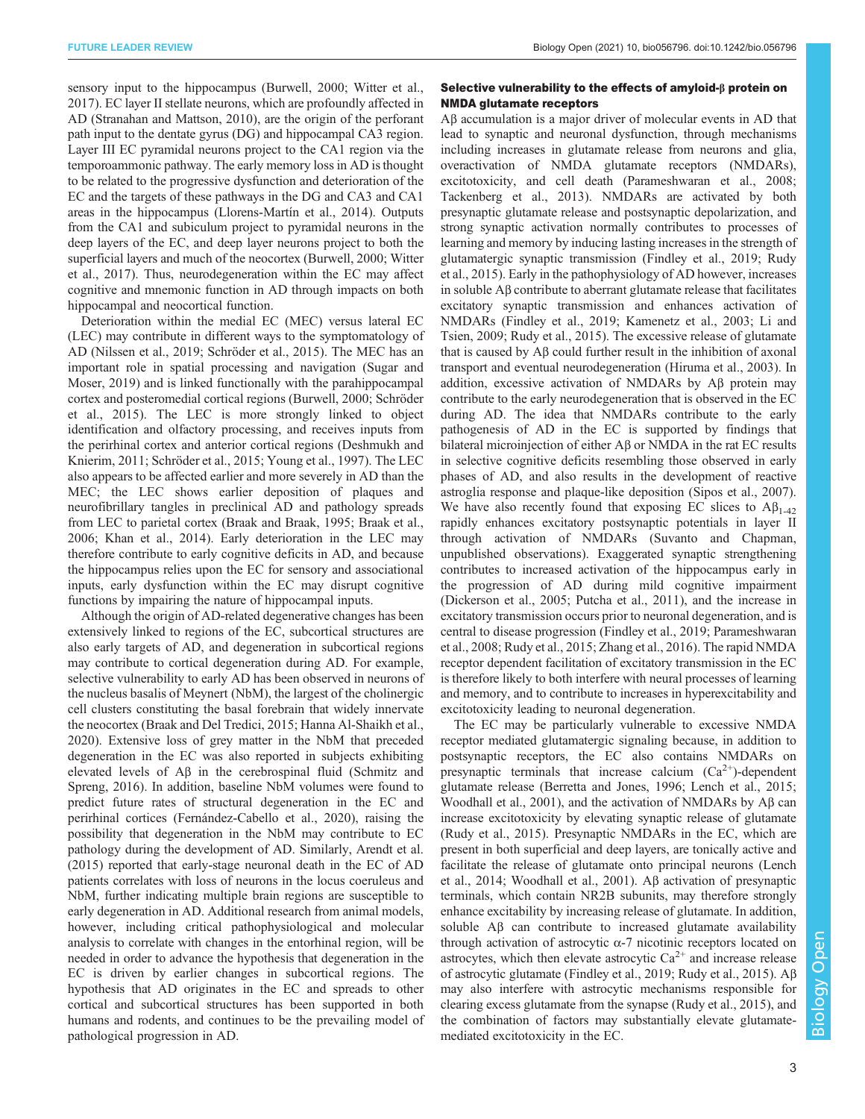sensory input to the hippocampus [\(Burwell, 2000;](#page-7-0) [Witter et al.,](#page-11-0) [2017](#page-11-0)). EC layer II stellate neurons, which are profoundly affected in AD ([Stranahan and Mattson, 2010](#page-10-0)), are the origin of the perforant path input to the dentate gyrus (DG) and hippocampal CA3 region. Layer III EC pyramidal neurons project to the CA1 region via the temporoammonic pathway. The early memory loss in AD is thought to be related to the progressive dysfunction and deterioration of the EC and the targets of these pathways in the DG and CA3 and CA1 areas in the hippocampus ([Llorens-Martín et al., 2014\)](#page-9-0). Outputs from the CA1 and subiculum project to pyramidal neurons in the deep layers of the EC, and deep layer neurons project to both the superficial layers and much of the neocortex [\(Burwell, 2000;](#page-7-0) [Witter](#page-11-0) [et al., 2017\)](#page-11-0). Thus, neurodegeneration within the EC may affect cognitive and mnemonic function in AD through impacts on both hippocampal and neocortical function.

Deterioration within the medial EC (MEC) versus lateral EC (LEC) may contribute in different ways to the symptomatology of AD ([Nilssen et al., 2019; Schröder et al., 2015\)](#page-10-0). The MEC has an important role in spatial processing and navigation ([Sugar and](#page-10-0) [Moser, 2019](#page-10-0)) and is linked functionally with the parahippocampal cortex and posteromedial cortical regions [\(Burwell, 2000](#page-7-0); [Schröder](#page-10-0) [et al., 2015\)](#page-10-0). The LEC is more strongly linked to object identification and olfactory processing, and receives inputs from the perirhinal cortex and anterior cortical regions [\(Deshmukh and](#page-8-0) [Knierim, 2011;](#page-8-0) [Schröder et al., 2015](#page-10-0); [Young et al., 1997\)](#page-11-0). The LEC also appears to be affected earlier and more severely in AD than the MEC; the LEC shows earlier deposition of plaques and neurofibrillary tangles in preclinical AD and pathology spreads from LEC to parietal cortex [\(Braak and Braak, 1995](#page-7-0); [Braak et al.,](#page-7-0) [2006](#page-7-0); [Khan et al., 2014\)](#page-9-0). Early deterioration in the LEC may therefore contribute to early cognitive deficits in AD, and because the hippocampus relies upon the EC for sensory and associational inputs, early dysfunction within the EC may disrupt cognitive functions by impairing the nature of hippocampal inputs.

Although the origin of AD-related degenerative changes has been extensively linked to regions of the EC, subcortical structures are also early targets of AD, and degeneration in subcortical regions may contribute to cortical degeneration during AD. For example, selective vulnerability to early AD has been observed in neurons of the nucleus basalis of Meynert (NbM), the largest of the cholinergic cell clusters constituting the basal forebrain that widely innervate the neocortex [\(Braak and Del Tredici, 2015](#page-7-0); [Hanna Al-Shaikh et al.,](#page-9-0) [2020](#page-9-0)). Extensive loss of grey matter in the NbM that preceded degeneration in the EC was also reported in subjects exhibiting elevated levels of Aβ in the cerebrospinal fluid [\(Schmitz and](#page-10-0) [Spreng, 2016\)](#page-10-0). In addition, baseline NbM volumes were found to predict future rates of structural degeneration in the EC and perirhinal cortices ([Fernández-Cabello et al., 2020](#page-8-0)), raising the possibility that degeneration in the NbM may contribute to EC pathology during the development of AD. Similarly, [Arendt et al.](#page-7-0) [\(2015\)](#page-7-0) reported that early-stage neuronal death in the EC of AD patients correlates with loss of neurons in the locus coeruleus and NbM, further indicating multiple brain regions are susceptible to early degeneration in AD. Additional research from animal models, however, including critical pathophysiological and molecular analysis to correlate with changes in the entorhinal region, will be needed in order to advance the hypothesis that degeneration in the EC is driven by earlier changes in subcortical regions. The hypothesis that AD originates in the EC and spreads to other cortical and subcortical structures has been supported in both humans and rodents, and continues to be the prevailing model of pathological progression in AD.

#### Selective vulnerability to the effects of amyloid-β protein on NMDA glutamate receptors

Aβ accumulation is a major driver of molecular events in AD that lead to synaptic and neuronal dysfunction, through mechanisms including increases in glutamate release from neurons and glia, overactivation of NMDA glutamate receptors (NMDARs), excitotoxicity, and cell death [\(Parameshwaran et al., 2008](#page-10-0); [Tackenberg et al., 2013\)](#page-10-0). NMDARs are activated by both presynaptic glutamate release and postsynaptic depolarization, and strong synaptic activation normally contributes to processes of learning and memory by inducing lasting increases in the strength of glutamatergic synaptic transmission ([Findley et al., 2019;](#page-8-0) [Rudy](#page-10-0) [et al., 2015\)](#page-10-0). Early in the pathophysiology of AD however, increases in soluble Aβ contribute to aberrant glutamate release that facilitates excitatory synaptic transmission and enhances activation of NMDARs [\(Findley et al., 2019](#page-8-0); [Kamenetz et al., 2003](#page-9-0); [Li and](#page-9-0) [Tsien, 2009;](#page-9-0) [Rudy et al., 2015](#page-10-0)). The excessive release of glutamate that is caused by Aβ could further result in the inhibition of axonal transport and eventual neurodegeneration ([Hiruma et al., 2003](#page-9-0)). In addition, excessive activation of NMDARs by Aβ protein may contribute to the early neurodegeneration that is observed in the EC during AD. The idea that NMDARs contribute to the early pathogenesis of AD in the EC is supported by findings that bilateral microinjection of either Aβ or NMDA in the rat EC results in selective cognitive deficits resembling those observed in early phases of AD, and also results in the development of reactive astroglia response and plaque-like deposition ([Sipos et al., 2007\)](#page-10-0). We have also recently found that exposing EC slices to  $A\beta_{1-42}$ rapidly enhances excitatory postsynaptic potentials in layer II through activation of NMDARs (Suvanto and Chapman, unpublished observations). Exaggerated synaptic strengthening contributes to increased activation of the hippocampus early in the progression of AD during mild cognitive impairment [\(Dickerson et al., 2005;](#page-8-0) [Putcha et al., 2011](#page-10-0)), and the increase in excitatory transmission occurs prior to neuronal degeneration, and is central to disease progression ([Findley et al., 2019](#page-8-0); [Parameshwaran](#page-10-0) [et al., 2008; Rudy et al., 2015;](#page-10-0) [Zhang et al., 2016\)](#page-11-0). The rapid NMDA receptor dependent facilitation of excitatory transmission in the EC is therefore likely to both interfere with neural processes of learning and memory, and to contribute to increases in hyperexcitability and excitotoxicity leading to neuronal degeneration.

The EC may be particularly vulnerable to excessive NMDA receptor mediated glutamatergic signaling because, in addition to postsynaptic receptors, the EC also contains NMDARs on presynaptic terminals that increase calcium  $(Ca^{2+})$ -dependent glutamate release [\(Berretta and Jones, 1996;](#page-7-0) [Lench et al., 2015](#page-9-0); [Woodhall et al., 2001](#page-11-0)), and the activation of NMDARs by Aβ can increase excitotoxicity by elevating synaptic release of glutamate [\(Rudy et al., 2015](#page-10-0)). Presynaptic NMDARs in the EC, which are present in both superficial and deep layers, are tonically active and facilitate the release of glutamate onto principal neurons [\(Lench](#page-9-0) [et al., 2014;](#page-9-0) [Woodhall et al., 2001](#page-11-0)). Aβ activation of presynaptic terminals, which contain NR2B subunits, may therefore strongly enhance excitability by increasing release of glutamate. In addition, soluble Aβ can contribute to increased glutamate availability through activation of astrocytic  $α-7$  nicotinic receptors located on astrocytes, which then elevate astrocytic  $Ca^{2+}$  and increase release of astrocytic glutamate ([Findley et al., 2019](#page-8-0); [Rudy et al., 2015\)](#page-10-0). Aβ may also interfere with astrocytic mechanisms responsible for clearing excess glutamate from the synapse ([Rudy et al., 2015\)](#page-10-0), and the combination of factors may substantially elevate glutamatemediated excitotoxicity in the EC.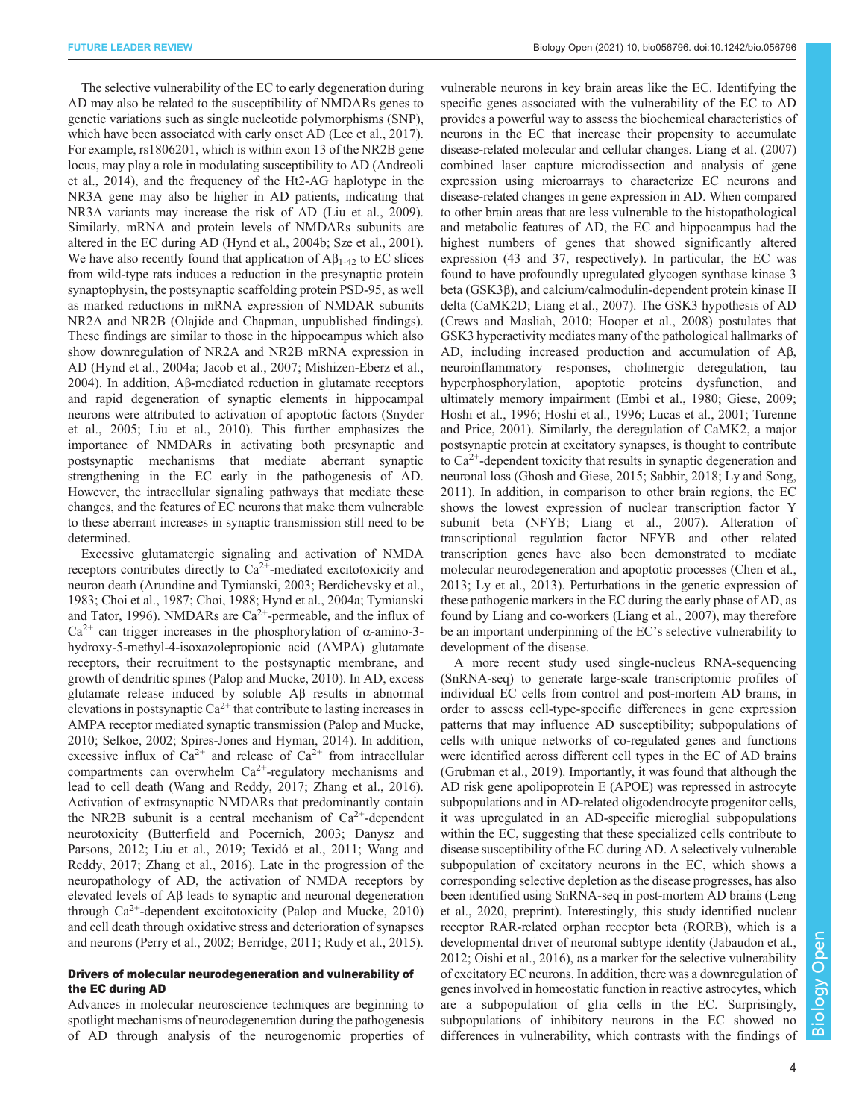The selective vulnerability of the EC to early degeneration during AD may also be related to the susceptibility of NMDARs genes to genetic variations such as single nucleotide polymorphisms (SNP), which have been associated with early onset AD [\(Lee et al., 2017\)](#page-9-0). For example, rs1806201, which is within exon 13 of the NR2B gene locus, may play a role in modulating susceptibility to AD ([Andreoli](#page-7-0) [et al., 2014\)](#page-7-0), and the frequency of the Ht2-AG haplotype in the NR3A gene may also be higher in AD patients, indicating that NR3A variants may increase the risk of AD ([Liu et al., 2009\)](#page-9-0). Similarly, mRNA and protein levels of NMDARs subunits are altered in the EC during AD ([Hynd et al., 2004b](#page-9-0); [Sze et al., 2001\)](#page-10-0). We have also recently found that application of  $A\beta_{1-42}$  to EC slices from wild-type rats induces a reduction in the presynaptic protein synaptophysin, the postsynaptic scaffolding protein PSD-95, as well as marked reductions in mRNA expression of NMDAR subunits NR2A and NR2B (Olajide and Chapman, unpublished findings). These findings are similar to those in the hippocampus which also show downregulation of NR2A and NR2B mRNA expression in AD ([Hynd et al., 2004a](#page-9-0); [Jacob et al., 2007; Mishizen-Eberz et al.,](#page-9-0) [2004](#page-9-0)). In addition, Aβ-mediated reduction in glutamate receptors and rapid degeneration of synaptic elements in hippocampal neurons were attributed to activation of apoptotic factors [\(Snyder](#page-10-0) [et al., 2005](#page-10-0); [Liu et al., 2010\)](#page-9-0). This further emphasizes the importance of NMDARs in activating both presynaptic and postsynaptic mechanisms that mediate aberrant synaptic strengthening in the EC early in the pathogenesis of AD. However, the intracellular signaling pathways that mediate these changes, and the features of EC neurons that make them vulnerable to these aberrant increases in synaptic transmission still need to be determined.

Excessive glutamatergic signaling and activation of NMDA receptors contributes directly to  $Ca^{2+}$ -mediated excitotoxicity and neuron death [\(Arundine and Tymianski, 2003](#page-7-0); [Berdichevsky et al.,](#page-7-0) [1983](#page-7-0); [Choi et al., 1987](#page-8-0); [Choi, 1988](#page-8-0); [Hynd et al., 2004a](#page-9-0); [Tymianski](#page-11-0) [and Tator, 1996](#page-11-0)). NMDARs are  $Ca^{2+}$ -permeable, and the influx of  $Ca^{2+}$  can trigger increases in the phosphorylation of  $\alpha$ -amino-3hydroxy-5-methyl-4-isoxazolepropionic acid (AMPA) glutamate receptors, their recruitment to the postsynaptic membrane, and growth of dendritic spines ([Palop and Mucke, 2010\)](#page-10-0). In AD, excess glutamate release induced by soluble Aβ results in abnormal elevations in postsynaptic  $Ca^{2+}$  that contribute to lasting increases in AMPA receptor mediated synaptic transmission [\(Palop and Mucke,](#page-10-0) [2010](#page-10-0); [Selkoe, 2002; Spires-Jones and Hyman, 2014](#page-10-0)). In addition, excessive influx of  $Ca^{2+}$  and release of  $Ca^{2+}$  from intracellular compartments can overwhelm  $Ca^{2+}$ -regulatory mechanisms and lead to cell death ([Wang and Reddy, 2017; Zhang et al., 2016\)](#page-11-0). Activation of extrasynaptic NMDARs that predominantly contain the NR2B subunit is a central mechanism of  $Ca^{2+}$ -dependent neurotoxicity ([Butterfield and Pocernich, 2003; Danysz and](#page-8-0) [Parsons, 2012;](#page-8-0) [Liu et al., 2019](#page-9-0); [Texidó et al., 2011;](#page-10-0) [Wang and](#page-11-0) [Reddy, 2017](#page-11-0); [Zhang et al., 2016](#page-11-0)). Late in the progression of the neuropathology of AD, the activation of NMDA receptors by elevated levels of Aβ leads to synaptic and neuronal degeneration through  $Ca^{2+}$ -dependent excitotoxicity [\(Palop and Mucke, 2010\)](#page-10-0) and cell death through oxidative stress and deterioration of synapses and neurons [\(Perry et al., 2002](#page-10-0); [Berridge, 2011;](#page-7-0) [Rudy et al., 2015\)](#page-10-0).

#### Drivers of molecular neurodegeneration and vulnerability of the EC during AD

Advances in molecular neuroscience techniques are beginning to spotlight mechanisms of neurodegeneration during the pathogenesis of AD through analysis of the neurogenomic properties of vulnerable neurons in key brain areas like the EC. Identifying the specific genes associated with the vulnerability of the EC to AD provides a powerful way to assess the biochemical characteristics of neurons in the EC that increase their propensity to accumulate disease-related molecular and cellular changes. [Liang et al. \(2007\)](#page-9-0) combined laser capture microdissection and analysis of gene expression using microarrays to characterize EC neurons and disease-related changes in gene expression in AD. When compared to other brain areas that are less vulnerable to the histopathological and metabolic features of AD, the EC and hippocampus had the highest numbers of genes that showed significantly altered expression (43 and 37, respectively). In particular, the EC was found to have profoundly upregulated glycogen synthase kinase 3 beta (GSK3β), and calcium/calmodulin-dependent protein kinase II delta (CaMK2D; [Liang et al., 2007](#page-9-0)). The GSK3 hypothesis of AD [\(Crews and Masliah, 2010;](#page-8-0) [Hooper et al., 2008\)](#page-9-0) postulates that GSK3 hyperactivity mediates many of the pathological hallmarks of AD, including increased production and accumulation of Aβ, neuroinflammatory responses, cholinergic deregulation, tau hyperphosphorylation, apoptotic proteins dysfunction, and ultimately memory impairment [\(Embi et al., 1980](#page-8-0); [Giese, 2009](#page-8-0); [Hoshi et al., 1996](#page-9-0); [Hoshi et al., 1996; Lucas et al., 2001;](#page-9-0) [Turenne](#page-11-0) [and Price, 2001\)](#page-11-0). Similarly, the deregulation of CaMK2, a major postsynaptic protein at excitatory synapses, is thought to contribute to  $Ca<sup>2+</sup>$ -dependent toxicity that results in synaptic degeneration and neuronal loss [\(Ghosh and Giese, 2015](#page-8-0); [Sabbir, 2018;](#page-10-0) [Ly and Song,](#page-9-0) [2011\)](#page-9-0). In addition, in comparison to other brain regions, the EC shows the lowest expression of nuclear transcription factor Y subunit beta (NFYB; [Liang et al., 2007](#page-9-0)). Alteration of transcriptional regulation factor NFYB and other related transcription genes have also been demonstrated to mediate molecular neurodegeneration and apoptotic processes [\(Chen et al.,](#page-8-0) [2013;](#page-8-0) [Ly et al., 2013\)](#page-9-0). Perturbations in the genetic expression of these pathogenic markers in the EC during the early phase of AD, as found by Liang and co-workers [\(Liang et al., 2007](#page-9-0)), may therefore be an important underpinning of the EC's selective vulnerability to development of the disease.

A more recent study used single-nucleus RNA-sequencing (SnRNA-seq) to generate large-scale transcriptomic profiles of individual EC cells from control and post-mortem AD brains, in order to assess cell-type-specific differences in gene expression patterns that may influence AD susceptibility; subpopulations of cells with unique networks of co-regulated genes and functions were identified across different cell types in the EC of AD brains [\(Grubman et al., 2019](#page-8-0)). Importantly, it was found that although the AD risk gene apolipoprotein E (APOE) was repressed in astrocyte subpopulations and in AD-related oligodendrocyte progenitor cells, it was upregulated in an AD-specific microglial subpopulations within the EC, suggesting that these specialized cells contribute to disease susceptibility of the EC during AD. A selectively vulnerable subpopulation of excitatory neurons in the EC, which shows a corresponding selective depletion as the disease progresses, has also been identified using SnRNA-seq in post-mortem AD brains ([Leng](#page-9-0) [et al., 2020,](#page-9-0) preprint). Interestingly, this study identified nuclear receptor RAR-related orphan receptor beta (RORB), which is a developmental driver of neuronal subtype identity [\(Jabaudon et al.,](#page-9-0) [2012;](#page-9-0) [Oishi et al., 2016\)](#page-10-0), as a marker for the selective vulnerability of excitatory EC neurons. In addition, there was a downregulation of genes involved in homeostatic function in reactive astrocytes, which are a subpopulation of glia cells in the EC. Surprisingly, subpopulations of inhibitory neurons in the EC showed no differences in vulnerability, which contrasts with the findings of

Open

4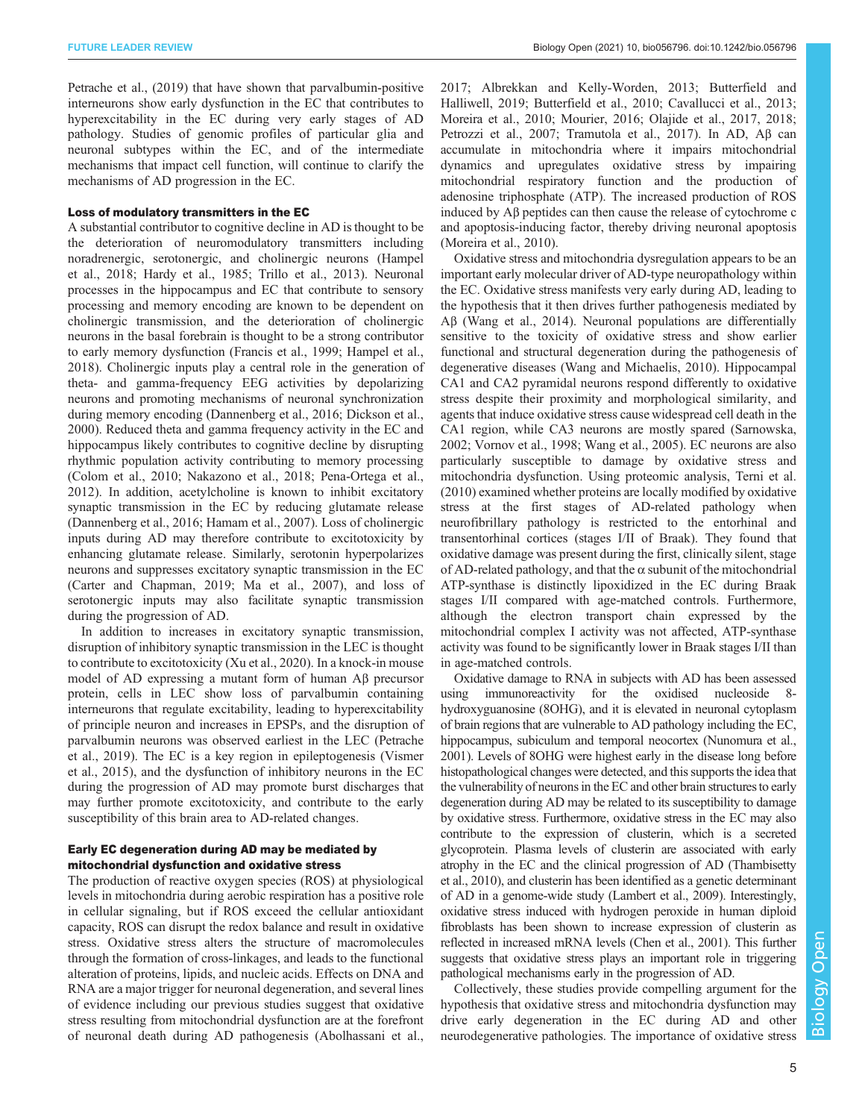[Petrache et al., \(2019\)](#page-10-0) that have shown that parvalbumin-positive interneurons show early dysfunction in the EC that contributes to hyperexcitability in the EC during very early stages of AD pathology. Studies of genomic profiles of particular glia and neuronal subtypes within the EC, and of the intermediate mechanisms that impact cell function, will continue to clarify the mechanisms of AD progression in the EC.

#### Loss of modulatory transmitters in the EC

A substantial contributor to cognitive decline in AD is thought to be the deterioration of neuromodulatory transmitters including noradrenergic, serotonergic, and cholinergic neurons [\(Hampel](#page-8-0) [et al., 2018](#page-8-0); [Hardy et al., 1985;](#page-9-0) [Trillo et al., 2013](#page-11-0)). Neuronal processes in the hippocampus and EC that contribute to sensory processing and memory encoding are known to be dependent on cholinergic transmission, and the deterioration of cholinergic neurons in the basal forebrain is thought to be a strong contributor to early memory dysfunction ([Francis et al., 1999; Hampel et al.,](#page-8-0) [2018](#page-8-0)). Cholinergic inputs play a central role in the generation of theta- and gamma-frequency EEG activities by depolarizing neurons and promoting mechanisms of neuronal synchronization during memory encoding [\(Dannenberg et al., 2016](#page-8-0); [Dickson et al.,](#page-8-0) [2000](#page-8-0)). Reduced theta and gamma frequency activity in the EC and hippocampus likely contributes to cognitive decline by disrupting rhythmic population activity contributing to memory processing [\(Colom et al., 2010;](#page-8-0) [Nakazono et al., 2018](#page-10-0); [Pena-Ortega et al.,](#page-10-0) [2012](#page-10-0)). In addition, acetylcholine is known to inhibit excitatory synaptic transmission in the EC by reducing glutamate release [\(Dannenberg et al., 2016](#page-8-0); [Hamam et al., 2007\)](#page-8-0). Loss of cholinergic inputs during AD may therefore contribute to excitotoxicity by enhancing glutamate release. Similarly, serotonin hyperpolarizes neurons and suppresses excitatory synaptic transmission in the EC [\(Carter and Chapman, 2019;](#page-8-0) [Ma et al., 2007](#page-9-0)), and loss of serotonergic inputs may also facilitate synaptic transmission during the progression of AD.

In addition to increases in excitatory synaptic transmission, disruption of inhibitory synaptic transmission in the LEC is thought to contribute to excitotoxicity ([Xu et al., 2020\)](#page-11-0). In a knock-in mouse model of AD expressing a mutant form of human Aβ precursor protein, cells in LEC show loss of parvalbumin containing interneurons that regulate excitability, leading to hyperexcitability of principle neuron and increases in EPSPs, and the disruption of parvalbumin neurons was observed earliest in the LEC [\(Petrache](#page-10-0) [et al., 2019](#page-10-0)). The EC is a key region in epileptogenesis [\(Vismer](#page-11-0) [et al., 2015](#page-11-0)), and the dysfunction of inhibitory neurons in the EC during the progression of AD may promote burst discharges that may further promote excitotoxicity, and contribute to the early susceptibility of this brain area to AD-related changes.

#### Early EC degeneration during AD may be mediated by mitochondrial dysfunction and oxidative stress

The production of reactive oxygen species (ROS) at physiological levels in mitochondria during aerobic respiration has a positive role in cellular signaling, but if ROS exceed the cellular antioxidant capacity, ROS can disrupt the redox balance and result in oxidative stress. Oxidative stress alters the structure of macromolecules through the formation of cross-linkages, and leads to the functional alteration of proteins, lipids, and nucleic acids. Effects on DNA and RNA are a major trigger for neuronal degeneration, and several lines of evidence including our previous studies suggest that oxidative stress resulting from mitochondrial dysfunction are at the forefront of neuronal death during AD pathogenesis [\(Abolhassani et al.,](#page-7-0)

[2017; Albrekkan and Kelly-Worden, 2013](#page-7-0); [Butterfield and](#page-8-0) [Halliwell, 2019; Butterfield et al., 2010; Cavallucci et al., 2013](#page-8-0); [Moreira et al., 2010; Mourier, 2016](#page-10-0); [Olajide et al., 2017](#page-10-0), [2018](#page-10-0); [Petrozzi et al., 2007;](#page-10-0) [Tramutola et al., 2017](#page-11-0)). In AD, Aβ can accumulate in mitochondria where it impairs mitochondrial dynamics and upregulates oxidative stress by impairing mitochondrial respiratory function and the production of adenosine triphosphate (ATP). The increased production of ROS induced by Aβ peptides can then cause the release of cytochrome c and apoptosis-inducing factor, thereby driving neuronal apoptosis [\(Moreira et al., 2010](#page-10-0)).

Oxidative stress and mitochondria dysregulation appears to be an important early molecular driver of AD-type neuropathology within the EC. Oxidative stress manifests very early during AD, leading to the hypothesis that it then drives further pathogenesis mediated by Aβ ([Wang et al., 2014\)](#page-11-0). Neuronal populations are differentially sensitive to the toxicity of oxidative stress and show earlier functional and structural degeneration during the pathogenesis of degenerative diseases [\(Wang and Michaelis, 2010](#page-11-0)). Hippocampal CA1 and CA2 pyramidal neurons respond differently to oxidative stress despite their proximity and morphological similarity, and agents that induce oxidative stress cause widespread cell death in the CA1 region, while CA3 neurons are mostly spared [\(Sarnowska,](#page-10-0) [2002;](#page-10-0) [Vornov et al., 1998; Wang et al., 2005\)](#page-11-0). EC neurons are also particularly susceptible to damage by oxidative stress and mitochondria dysfunction. Using proteomic analysis, [Terni et al.](#page-10-0) [\(2010\)](#page-10-0) examined whether proteins are locally modified by oxidative stress at the first stages of AD-related pathology when neurofibrillary pathology is restricted to the entorhinal and transentorhinal cortices (stages I/II of Braak). They found that oxidative damage was present during the first, clinically silent, stage of AD-related pathology, and that the  $\alpha$  subunit of the mitochondrial ATP-synthase is distinctly lipoxidized in the EC during Braak stages I/II compared with age-matched controls. Furthermore, although the electron transport chain expressed by the mitochondrial complex I activity was not affected, ATP-synthase activity was found to be significantly lower in Braak stages I/II than in age-matched controls.

Oxidative damage to RNA in subjects with AD has been assessed using immunoreactivity for the oxidised nucleoside 8 hydroxyguanosine (8OHG), and it is elevated in neuronal cytoplasm of brain regions that are vulnerable to AD pathology including the EC, hippocampus, subiculum and temporal neocortex [\(Nunomura et al.,](#page-10-0) [2001](#page-10-0)). Levels of 8OHG were highest early in the disease long before histopathological changes were detected, and this supports the idea that the vulnerability of neurons in the EC and other brain structures to early degeneration during AD may be related to its susceptibility to damage by oxidative stress. Furthermore, oxidative stress in the EC may also contribute to the expression of clusterin, which is a secreted glycoprotein. Plasma levels of clusterin are associated with early atrophy in the EC and the clinical progression of AD ([Thambisetty](#page-10-0) [et al., 2010\)](#page-10-0), and clusterin has been identified as a genetic determinant of AD in a genome-wide study ([Lambert et al., 2009\)](#page-9-0). Interestingly, oxidative stress induced with hydrogen peroxide in human diploid fibroblasts has been shown to increase expression of clusterin as reflected in increased mRNA levels ([Chen et al., 2001](#page-8-0)). This further suggests that oxidative stress plays an important role in triggering pathological mechanisms early in the progression of AD.

Collectively, these studies provide compelling argument for the hypothesis that oxidative stress and mitochondria dysfunction may drive early degeneration in the EC during AD and other neurodegenerative pathologies. The importance of oxidative stress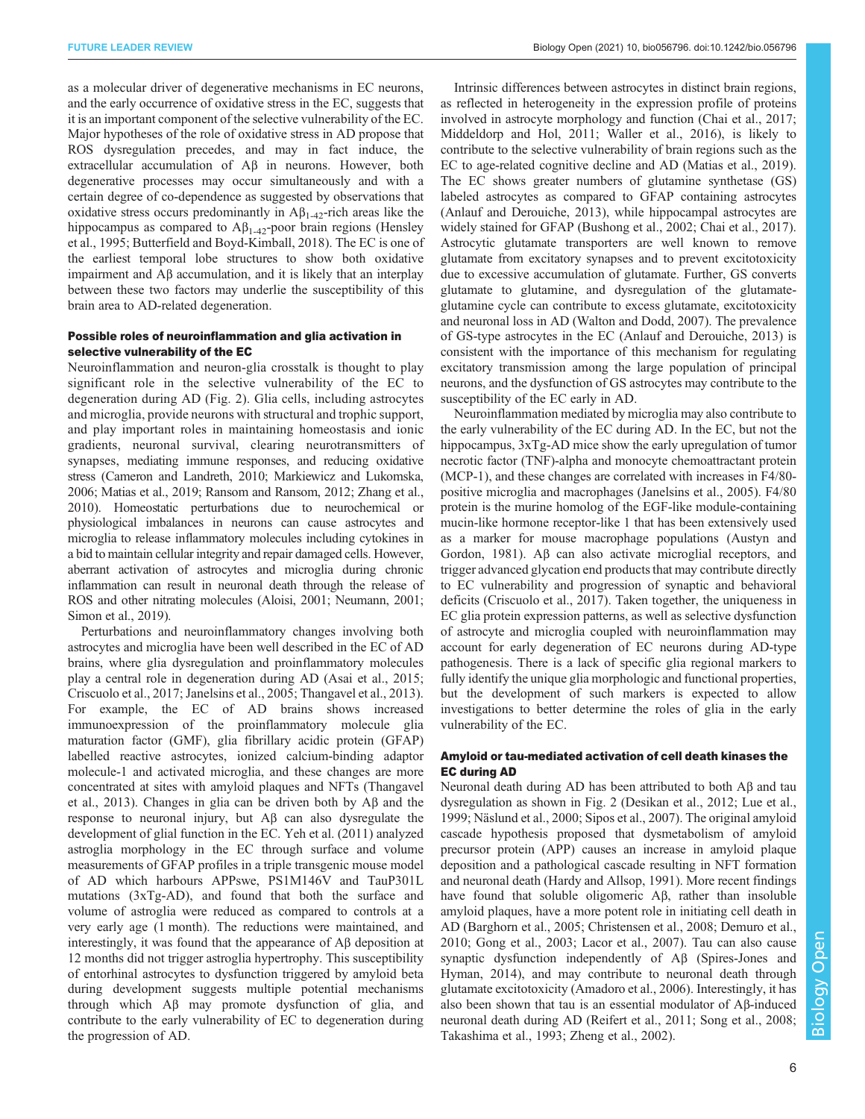as a molecular driver of degenerative mechanisms in EC neurons, and the early occurrence of oxidative stress in the EC, suggests that it is an important component of the selective vulnerability of the EC. Major hypotheses of the role of oxidative stress in AD propose that ROS dysregulation precedes, and may in fact induce, the extracellular accumulation of Aβ in neurons. However, both degenerative processes may occur simultaneously and with a certain degree of co-dependence as suggested by observations that oxidative stress occurs predominantly in  $\mathbf{A}\mathbf{B}_{1-42}$ -rich areas like the hippocampus as compared to  $A\beta_{1-42}$ -poor brain regions [\(Hensley](#page-9-0) [et al., 1995](#page-9-0); [Butterfield and Boyd-Kimball, 2018](#page-8-0)). The EC is one of the earliest temporal lobe structures to show both oxidative impairment and Aβ accumulation, and it is likely that an interplay between these two factors may underlie the susceptibility of this brain area to AD-related degeneration.

## Possible roles of neuroinflammation and glia activation in selective vulnerability of the EC

Neuroinflammation and neuron-glia crosstalk is thought to play significant role in the selective vulnerability of the EC to degeneration during AD [\(Fig. 2\)](#page-6-0). Glia cells, including astrocytes and microglia, provide neurons with structural and trophic support, and play important roles in maintaining homeostasis and ionic gradients, neuronal survival, clearing neurotransmitters of synapses, mediating immune responses, and reducing oxidative stress ([Cameron and Landreth, 2010](#page-8-0); [Markiewicz and Lukomska,](#page-9-0) [2006; Matias et al., 2019](#page-9-0); [Ransom and Ransom, 2012](#page-10-0); [Zhang et al.,](#page-11-0) [2010\)](#page-11-0). Homeostatic perturbations due to neurochemical or physiological imbalances in neurons can cause astrocytes and microglia to release inflammatory molecules including cytokines in a bid to maintain cellular integrity and repair damaged cells. However, aberrant activation of astrocytes and microglia during chronic inflammation can result in neuronal death through the release of ROS and other nitrating molecules [\(Aloisi, 2001;](#page-7-0) [Neumann, 2001](#page-10-0); [Simon et al., 2019](#page-10-0)).

Perturbations and neuroinflammatory changes involving both astrocytes and microglia have been well described in the EC of AD brains, where glia dysregulation and proinflammatory molecules play a central role in degeneration during AD [\(Asai et al., 2015](#page-7-0); [Criscuolo et al., 2017](#page-8-0); [Janelsins et al., 2005](#page-9-0); [Thangavel et al., 2013\)](#page-11-0). For example, the EC of AD brains shows increased immunoexpression of the proinflammatory molecule glia maturation factor (GMF), glia fibrillary acidic protein (GFAP) labelled reactive astrocytes, ionized calcium-binding adaptor molecule-1 and activated microglia, and these changes are more concentrated at sites with amyloid plaques and NFTs ([Thangavel](#page-11-0) [et al., 2013](#page-11-0)). Changes in glia can be driven both by Aβ and the response to neuronal injury, but Aβ can also dysregulate the development of glial function in the EC. [Yeh et al. \(2011\)](#page-11-0) analyzed astroglia morphology in the EC through surface and volume measurements of GFAP profiles in a triple transgenic mouse model of AD which harbours APPswe, PS1M146V and TauP301L mutations (3xTg-AD), and found that both the surface and volume of astroglia were reduced as compared to controls at a very early age (1 month). The reductions were maintained, and interestingly, it was found that the appearance of Aβ deposition at 12 months did not trigger astroglia hypertrophy. This susceptibility of entorhinal astrocytes to dysfunction triggered by amyloid beta during development suggests multiple potential mechanisms through which Aβ may promote dysfunction of glia, and contribute to the early vulnerability of EC to degeneration during the progression of AD.

Intrinsic differences between astrocytes in distinct brain regions, as reflected in heterogeneity in the expression profile of proteins involved in astrocyte morphology and function [\(Chai et al., 2017](#page-8-0); [Middeldorp and Hol, 2011;](#page-9-0) [Waller et al., 2016\)](#page-11-0), is likely to contribute to the selective vulnerability of brain regions such as the EC to age-related cognitive decline and AD ([Matias et al., 2019\)](#page-9-0). The EC shows greater numbers of glutamine synthetase (GS) labeled astrocytes as compared to GFAP containing astrocytes [\(Anlauf and Derouiche, 2013](#page-7-0)), while hippocampal astrocytes are widely stained for GFAP [\(Bushong et al., 2002;](#page-7-0) [Chai et al., 2017\)](#page-8-0). Astrocytic glutamate transporters are well known to remove glutamate from excitatory synapses and to prevent excitotoxicity due to excessive accumulation of glutamate. Further, GS converts glutamate to glutamine, and dysregulation of the glutamateglutamine cycle can contribute to excess glutamate, excitotoxicity and neuronal loss in AD ([Walton and Dodd, 2007\)](#page-11-0). The prevalence of GS-type astrocytes in the EC ([Anlauf and Derouiche, 2013\)](#page-7-0) is consistent with the importance of this mechanism for regulating excitatory transmission among the large population of principal neurons, and the dysfunction of GS astrocytes may contribute to the susceptibility of the EC early in AD.

Neuroinflammation mediated by microglia may also contribute to the early vulnerability of the EC during AD. In the EC, but not the hippocampus,  $3xTg-AD$  mice show the early upregulation of tumor necrotic factor (TNF)-alpha and monocyte chemoattractant protein (MCP-1), and these changes are correlated with increases in F4/80 positive microglia and macrophages [\(Janelsins et al., 2005\)](#page-9-0). F4/80 protein is the murine homolog of the EGF-like module-containing mucin-like hormone receptor-like 1 that has been extensively used as a marker for mouse macrophage populations ([Austyn and](#page-7-0) [Gordon, 1981](#page-7-0)). Aβ can also activate microglial receptors, and trigger advanced glycation end products that may contribute directly to EC vulnerability and progression of synaptic and behavioral deficits [\(Criscuolo et al., 2017\)](#page-8-0). Taken together, the uniqueness in EC glia protein expression patterns, as well as selective dysfunction of astrocyte and microglia coupled with neuroinflammation may account for early degeneration of EC neurons during AD-type pathogenesis. There is a lack of specific glia regional markers to fully identify the unique glia morphologic and functional properties, but the development of such markers is expected to allow investigations to better determine the roles of glia in the early vulnerability of the EC.

## Amyloid or tau-mediated activation of cell death kinases the EC during AD

Neuronal death during AD has been attributed to both Aβ and tau dysregulation as shown in [Fig. 2](#page-6-0) ([Desikan et al., 2012;](#page-8-0) [Lue et al.,](#page-9-0) [1999;](#page-9-0) [Näslund et al., 2000; Sipos et al., 2007](#page-10-0)). The original amyloid cascade hypothesis proposed that dysmetabolism of amyloid precursor protein (APP) causes an increase in amyloid plaque deposition and a pathological cascade resulting in NFT formation and neuronal death [\(Hardy and Allsop, 1991](#page-9-0)). More recent findings have found that soluble oligomeric Aβ, rather than insoluble amyloid plaques, have a more potent role in initiating cell death in AD [\(Barghorn et al., 2005](#page-7-0); [Christensen et al., 2008](#page-8-0); [Demuro et al.,](#page-8-0) [2010; Gong et al., 2003;](#page-8-0) [Lacor et al., 2007](#page-9-0)). Tau can also cause synaptic dysfunction independently of Aβ [\(Spires-Jones and](#page-10-0) [Hyman, 2014](#page-10-0)), and may contribute to neuronal death through glutamate excitotoxicity [\(Amadoro et al., 2006\)](#page-7-0). Interestingly, it has also been shown that tau is an essential modulator of Aβ-induced neuronal death during AD [\(Reifert et al., 2011](#page-10-0); [Song et al., 2008](#page-10-0); [Takashima et al., 1993](#page-10-0); [Zheng et al., 2002](#page-11-0)).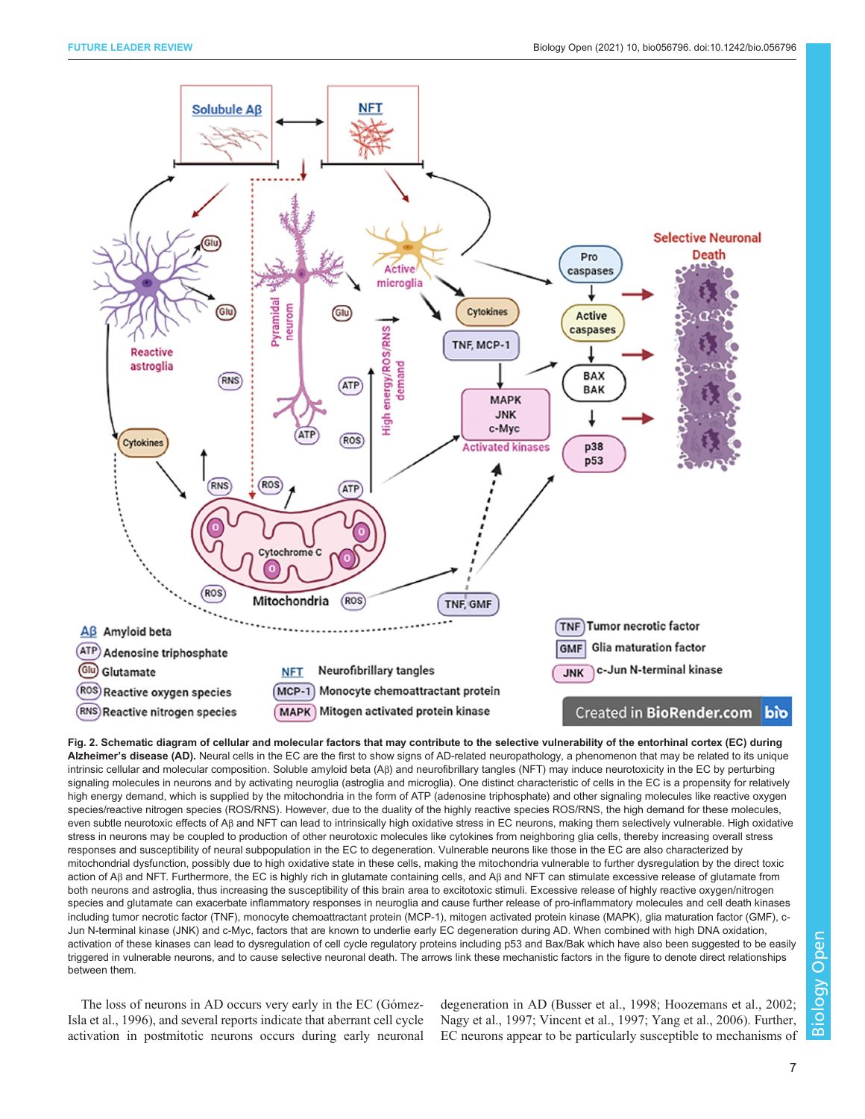<span id="page-6-0"></span>

Fig. 2. Schematic diagram of cellular and molecular factors that may contribute to the selective vulnerability of the entorhinal cortex (EC) during Alzheimer's disease (AD). Neural cells in the EC are the first to show signs of AD-related neuropathology, a phenomenon that may be related to its unique intrinsic cellular and molecular composition. Soluble amyloid beta (Aβ) and neurofibrillary tangles (NFT) may induce neurotoxicity in the EC by perturbing signaling molecules in neurons and by activating neuroglia (astroglia and microglia). One distinct characteristic of cells in the EC is a propensity for relatively high energy demand, which is supplied by the mitochondria in the form of ATP (adenosine triphosphate) and other signaling molecules like reactive oxygen species/reactive nitrogen species (ROS/RNS). However, due to the duality of the highly reactive species ROS/RNS, the high demand for these molecules, even subtle neurotoxic effects of Aβ and NFT can lead to intrinsically high oxidative stress in EC neurons, making them selectively vulnerable. High oxidative stress in neurons may be coupled to production of other neurotoxic molecules like cytokines from neighboring glia cells, thereby increasing overall stress responses and susceptibility of neural subpopulation in the EC to degeneration. Vulnerable neurons like those in the EC are also characterized by mitochondrial dysfunction, possibly due to high oxidative state in these cells, making the mitochondria vulnerable to further dysregulation by the direct toxic action of Aβ and NFT. Furthermore, the EC is highly rich in glutamate containing cells, and Aβ and NFT can stimulate excessive release of glutamate from both neurons and astroglia, thus increasing the susceptibility of this brain area to excitotoxic stimuli. Excessive release of highly reactive oxygen/nitrogen species and glutamate can exacerbate inflammatory responses in neuroglia and cause further release of pro-inflammatory molecules and cell death kinases including tumor necrotic factor (TNF), monocyte chemoattractant protein (MCP-1), mitogen activated protein kinase (MAPK), glia maturation factor (GMF), c-Jun N-terminal kinase (JNK) and c-Myc, factors that are known to underlie early EC degeneration during AD. When combined with high DNA oxidation, activation of these kinases can lead to dysregulation of cell cycle regulatory proteins including p53 and Bax/Bak which have also been suggested to be easily triggered in vulnerable neurons, and to cause selective neuronal death. The arrows link these mechanistic factors in the figure to denote direct relationships between them.

The loss of neurons in AD occurs very early in the EC ([Gómez-](#page-8-0)[Isla et al., 1996\)](#page-8-0), and several reports indicate that aberrant cell cycle activation in postmitotic neurons occurs during early neuronal

degeneration in AD [\(Busser et al., 1998](#page-8-0); [Hoozemans et al., 2002](#page-9-0); [Nagy et al., 1997;](#page-10-0) [Vincent et al., 1997](#page-11-0); [Yang et al., 2006](#page-11-0)). Further, EC neurons appear to be particularly susceptible to mechanisms of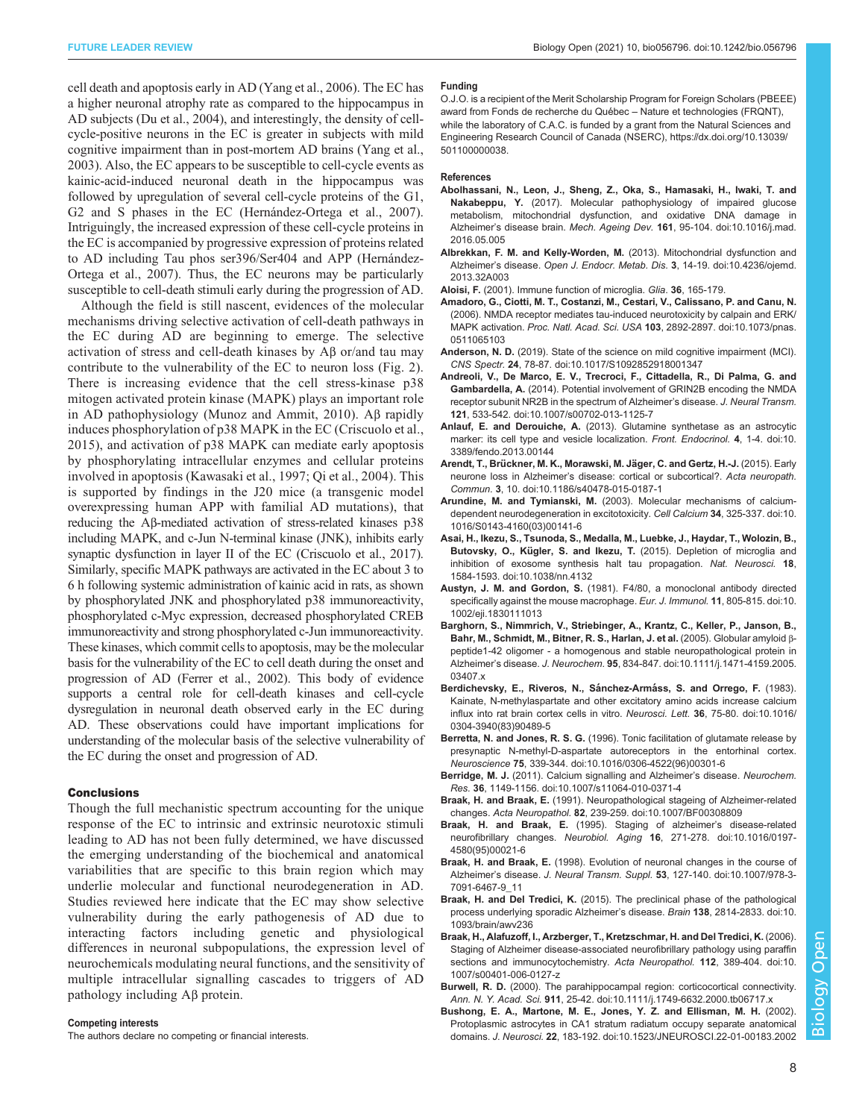<span id="page-7-0"></span>cell death and apoptosis early in AD ([Yang et al., 2006\)](#page-11-0). The EC has a higher neuronal atrophy rate as compared to the hippocampus in AD subjects ([Du et al., 2004](#page-8-0)), and interestingly, the density of cellcycle-positive neurons in the EC is greater in subjects with mild cognitive impairment than in post-mortem AD brains [\(Yang et al.,](#page-11-0) [2003](#page-11-0)). Also, the EC appears to be susceptible to cell-cycle events as kainic-acid-induced neuronal death in the hippocampus was followed by upregulation of several cell-cycle proteins of the G1, G2 and S phases in the EC ([Hernández-Ortega et al., 2007\)](#page-9-0). Intriguingly, the increased expression of these cell-cycle proteins in the EC is accompanied by progressive expression of proteins related to AD including Tau phos ser396/Ser404 and APP [\(Hernández-](#page-9-0)[Ortega et al., 2007](#page-9-0)). Thus, the EC neurons may be particularly susceptible to cell-death stimuli early during the progression of AD.

Although the field is still nascent, evidences of the molecular mechanisms driving selective activation of cell-death pathways in the EC during AD are beginning to emerge. The selective activation of stress and cell-death kinases by Aβ or/and tau may contribute to the vulnerability of the EC to neuron loss ([Fig. 2](#page-6-0)). There is increasing evidence that the cell stress-kinase p38 mitogen activated protein kinase (MAPK) plays an important role in AD pathophysiology [\(Munoz and Ammit, 2010](#page-10-0)). Aβ rapidly induces phosphorylation of p38 MAPK in the EC ([Criscuolo et al.,](#page-8-0) [2015](#page-8-0)), and activation of p38 MAPK can mediate early apoptosis by phosphorylating intracellular enzymes and cellular proteins involved in apoptosis ([Kawasaki et al., 1997;](#page-9-0) [Qi et al., 2004](#page-10-0)). This is supported by findings in the J20 mice (a transgenic model overexpressing human APP with familial AD mutations), that reducing the Aβ-mediated activation of stress-related kinases p38 including MAPK, and c-Jun N-terminal kinase (JNK), inhibits early synaptic dysfunction in layer II of the EC ([Criscuolo et al., 2017\)](#page-8-0). Similarly, specific MAPK pathways are activated in the EC about 3 to 6 h following systemic administration of kainic acid in rats, as shown by phosphorylated JNK and phosphorylated p38 immunoreactivity, phosphorylated c-Myc expression, decreased phosphorylated CREB immunoreactivity and strong phosphorylated c-Jun immunoreactivity. These kinases, which commit cells to apoptosis, may be the molecular basis for the vulnerability of the EC to cell death during the onset and progression of AD ([Ferrer et al., 2002\)](#page-8-0). This body of evidence supports a central role for cell-death kinases and cell-cycle dysregulation in neuronal death observed early in the EC during AD. These observations could have important implications for understanding of the molecular basis of the selective vulnerability of the EC during the onset and progression of AD.

#### **Conclusions**

Though the full mechanistic spectrum accounting for the unique response of the EC to intrinsic and extrinsic neurotoxic stimuli leading to AD has not been fully determined, we have discussed the emerging understanding of the biochemical and anatomical variabilities that are specific to this brain region which may underlie molecular and functional neurodegeneration in AD. Studies reviewed here indicate that the EC may show selective vulnerability during the early pathogenesis of AD due to interacting factors including genetic and physiological differences in neuronal subpopulations, the expression level of neurochemicals modulating neural functions, and the sensitivity of multiple intracellular signalling cascades to triggers of AD pathology including Aβ protein.

#### Competing interests

The authors declare no competing or financial interests.

#### Funding

O.J.O. is a recipient of the Merit Scholarship Program for Foreign Scholars (PBEEE) award from Fonds de recherche du Québec – Nature et technologies (FRQNT), while the laboratory of C.A.C. is funded by a grant from the Natural Sciences and Engineering Research Council of Canada (NSERC), [https://dx.doi.org/10.13039/](https://dx.doi.org/10.13039/501100000038) [501100000038](https://dx.doi.org/10.13039/501100000038).

#### References

- [Abolhassani, N., Leon, J., Sheng, Z., Oka, S., Hamasaki, H., Iwaki, T. and](https://doi.org/10.1016/j.mad.2016.05.005) Nakabeppu, Y. [\(2017\). Molecular pathophysiology of impaired glucose](https://doi.org/10.1016/j.mad.2016.05.005) [metabolism, mitochondrial dysfunction, and oxidative DNA damage in](https://doi.org/10.1016/j.mad.2016.05.005) Alzheimer's disease brain. Mech. Ageing Dev. 161[, 95-104. doi:10.1016/j.mad.](https://doi.org/10.1016/j.mad.2016.05.005) [2016.05.005](https://doi.org/10.1016/j.mad.2016.05.005)
- [Albrekkan, F. M. and Kelly-Worden, M.](https://doi.org/10.4236/ojemd.2013.32A003) (2013). Mitochondrial dysfunction and Alzheimer's disease. [Open J. Endocr. Metab. Dis.](https://doi.org/10.4236/ojemd.2013.32A003) 3, 14-19. doi:10.4236/ojemd. [2013.32A003](https://doi.org/10.4236/ojemd.2013.32A003)
- Aloisi, F. (2001). Immune function of microglia. Glia. 36, 165-179.
- [Amadoro, G., Ciotti, M. T., Costanzi, M., Cestari, V., Calissano, P. and Canu, N.](https://doi.org/10.1073/pnas.0511065103) [\(2006\). NMDA receptor mediates tau-induced neurotoxicity by calpain and ERK/](https://doi.org/10.1073/pnas.0511065103) MAPK activation. Proc. Natl. Acad. Sci. USA 103[, 2892-2897. doi:10.1073/pnas.](https://doi.org/10.1073/pnas.0511065103) [0511065103](https://doi.org/10.1073/pnas.0511065103)
- Anderson, N. D. [\(2019\). State of the science on mild cognitive impairment \(MCI\).](https://doi.org/10.1017/S1092852918001347) CNS Spectr. 24[, 78-87. doi:10.1017/S1092852918001347](https://doi.org/10.1017/S1092852918001347)
- [Andreoli, V., De Marco, E. V., Trecroci, F., Cittadella, R., Di Palma, G. and](https://doi.org/10.1007/s00702-013-1125-7) Gambardella, A. [\(2014\). Potential involvement of GRIN2B encoding the NMDA](https://doi.org/10.1007/s00702-013-1125-7) [receptor subunit NR2B in the spectrum of Alzheimer](https://doi.org/10.1007/s00702-013-1125-7)'s disease. J. Neural Transm. 121[, 533-542. doi:10.1007/s00702-013-1125-7](https://doi.org/10.1007/s00702-013-1125-7)
- Anlauf, E. and Derouiche, A. [\(2013\). Glutamine synthetase as an astrocytic](https://doi.org/10.3389/fendo.2013.00144) [marker: its cell type and vesicle localization.](https://doi.org/10.3389/fendo.2013.00144) Front. Endocrinol. 4, 1-4. doi:10. [3389/fendo.2013.00144](https://doi.org/10.3389/fendo.2013.00144)
- Arendt, T., Brückner, M. K., Morawski, M. Jäger, C. and Gertz, H.-J. (2015). Early neurone loss in Alzheimer'[s disease: cortical or subcortical?.](https://doi.org/10.1186/s40478-015-0187-1) Acta neuropath. Commun. 3[, 10. doi:10.1186/s40478-015-0187-1](https://doi.org/10.1186/s40478-015-0187-1)
- Arundine, M. and Tymianski, M. [\(2003\). Molecular mechanisms of calcium](https://doi.org/10.1016/S0143-4160(03)00141-6)[dependent neurodegeneration in excitotoxicity.](https://doi.org/10.1016/S0143-4160(03)00141-6) Cell Calcium 34, 325-337. doi:10. [1016/S0143-4160\(03\)00141-6](https://doi.org/10.1016/S0143-4160(03)00141-6)
- [Asai, H., Ikezu, S., Tsunoda, S., Medalla, M., Luebke, J., Haydar, T., Wolozin, B.,](https://doi.org/10.1038/nn.4132) Butovsky, O., Kügler, S. and Ikezu, T. [\(2015\). Depletion of microglia and](https://doi.org/10.1038/nn.4132) [inhibition of exosome synthesis halt tau propagation.](https://doi.org/10.1038/nn.4132) Nat. Neurosci. 18, [1584-1593. doi:10.1038/nn.4132](https://doi.org/10.1038/nn.4132)
- Austyn, J. M. and Gordon, S. [\(1981\). F4/80, a monoclonal antibody directed](https://doi.org/10.1002/eji.1830111013) [specifically against the mouse macrophage.](https://doi.org/10.1002/eji.1830111013) Eur. J. Immunol. 11, 805-815. doi:10. [1002/eji.1830111013](https://doi.org/10.1002/eji.1830111013)
- [Barghorn, S., Nimmrich, V., Striebinger, A., Krantz, C., Keller, P., Janson, B.,](https://doi.org/10.1111/j.1471-4159.2005.03407.x) [Bahr, M., Schmidt, M., Bitner, R. S., Harlan, J. et al.](https://doi.org/10.1111/j.1471-4159.2005.03407.x) (2005). Globular amyloid β[peptide1-42 oligomer - a homogenous and stable neuropathological protein in](https://doi.org/10.1111/j.1471-4159.2005.03407.x) Alzheimer's disease. J. Neurochem. 95[, 834-847. doi:10.1111/j.1471-4159.2005.](https://doi.org/10.1111/j.1471-4159.2005.03407.x) [03407.x](https://doi.org/10.1111/j.1471-4159.2005.03407.x)
- Berdichevsky, E., Riveros, N., Sánchez-Armáss, S. and Orrego, F. (1983). [Kainate, N-methylaspartate and other excitatory amino acids increase calcium](https://doi.org/10.1016/0304-3940(83)90489-5) [influx into rat brain cortex cells in vitro.](https://doi.org/10.1016/0304-3940(83)90489-5) Neurosci. Lett. 36, 75-80. doi:10.1016/ [0304-3940\(83\)90489-5](https://doi.org/10.1016/0304-3940(83)90489-5)
- Berretta, N. and Jones, R. S. G. [\(1996\). Tonic facilitation of glutamate release by](https://doi.org/10.1016/0306-4522(96)00301-6) [presynaptic N-methyl-D-aspartate autoreceptors in the entorhinal cortex.](https://doi.org/10.1016/0306-4522(96)00301-6) Neuroscience 75[, 339-344. doi:10.1016/0306-4522\(96\)00301-6](https://doi.org/10.1016/0306-4522(96)00301-6)
- Berridge, M. J. [\(2011\). Calcium signalling and Alzheimer](http://dx.doi.org/10.1007/s11064-010-0371-4)'s disease. Neurochem. Res. 36[, 1149-1156. doi:10.1007/s11064-010-0371-4](http://dx.doi.org/10.1007/s11064-010-0371-4)
- Braak, H. and Braak, E. [\(1991\). Neuropathological stageing of Alzheimer-related](https://doi.org/10.1007/BF00308809) changes. Acta Neuropathol. 82[, 239-259. doi:10.1007/BF00308809](https://doi.org/10.1007/BF00308809)
- Braak, H. and Braak, E. [\(1995\). Staging of alzheimer](https://doi.org/10.1016/0197-4580(95)00021-6)'s disease-related neurofibrillary changes. Neurobiol. Aging 16[, 271-278. doi:10.1016/0197-](https://doi.org/10.1016/0197-4580(95)00021-6) [4580\(95\)00021-6](https://doi.org/10.1016/0197-4580(95)00021-6)
- Braak, H. and Braak, E. [\(1998\). Evolution of neuronal changes in the course of](https://doi.org/10.1007/978-3-7091-6467-9_11) Alzheimer's disease. J. Neural Transm. Suppl. 53[, 127-140. doi:10.1007/978-3-](https://doi.org/10.1007/978-3-7091-6467-9_11) [7091-6467-9\\_11](https://doi.org/10.1007/978-3-7091-6467-9_11)
- Braak, H. and Del Tredici, K. [\(2015\). The preclinical phase of the pathological](https://doi.org/10.1093/brain/awv236) [process underlying sporadic Alzheimer](https://doi.org/10.1093/brain/awv236)'s disease. Brain 138, 2814-2833. doi:10. [1093/brain/awv236](https://doi.org/10.1093/brain/awv236)
- [Braak, H., Alafuzoff, I., Arzberger, T., Kretzschmar, H. and Del Tredici, K.](https://doi.org/10.1007/s00401-006-0127-z) (2006). [Staging of Alzheimer disease-associated neurofibrillary pathology using paraffin](https://doi.org/10.1007/s00401-006-0127-z) [sections and immunocytochemistry.](https://doi.org/10.1007/s00401-006-0127-z) Acta Neuropathol. 112, 389-404. doi:10. [1007/s00401-006-0127-z](https://doi.org/10.1007/s00401-006-0127-z)
- Burwell, R. D. (2000). The parahippocampal region: corticocortical connectivity Ann. N. Y. Acad. Sci. 911[, 25-42. doi:10.1111/j.1749-6632.2000.tb06717.x](https://doi.org/10.1111/j.1749-6632.2000.tb06717.x)
- [Bushong, E. A., Martone, M. E., Jones, Y. Z. and Ellisman, M. H.](https://doi.org/10.1523/JNEUROSCI.22-01-00183.2002) (2002). [Protoplasmic astrocytes in CA1 stratum radiatum occupy separate anatomical](https://doi.org/10.1523/JNEUROSCI.22-01-00183.2002) domains. J. Neurosci. 22[, 183-192. doi:10.1523/JNEUROSCI.22-01-00183.2002](https://doi.org/10.1523/JNEUROSCI.22-01-00183.2002)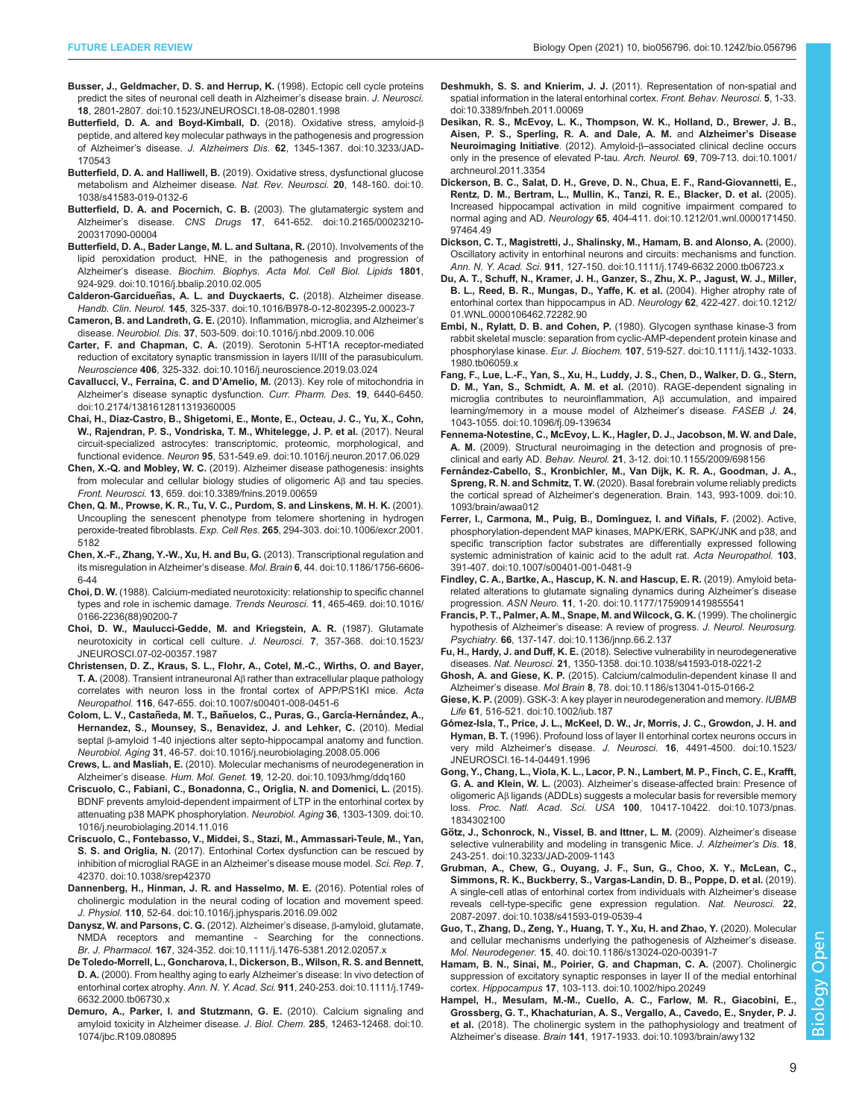- <span id="page-8-0"></span>[Busser, J., Geldmacher, D. S. and Herrup, K.](https://doi.org/10.1523/JNEUROSCI.18-08-02801.1998) (1998). Ectopic cell cycle proteins [predict the sites of neuronal cell death in Alzheimer](https://doi.org/10.1523/JNEUROSCI.18-08-02801.1998)'s disease brain. J. Neurosci. 18[, 2801-2807. doi:10.1523/JNEUROSCI.18-08-02801.1998](https://doi.org/10.1523/JNEUROSCI.18-08-02801.1998)
- [Butterfield, D. A. and Boyd-Kimball, D.](https://doi.org/10.3233/JAD-170543) (2018). Oxidative stress, amyloid-β [peptide, and altered key molecular pathways in the pathogenesis and progression](https://doi.org/10.3233/JAD-170543) of Alzheimer's disease. J. Alzheimers Dis. 62[, 1345-1367. doi:10.3233/JAD-](https://doi.org/10.3233/JAD-170543)[170543](https://doi.org/10.3233/JAD-170543)
- Butterfield, D. A. and Halliwell, B. [\(2019\). Oxidative stress, dysfunctional glucose](https://doi.org/10.1038/s41583-019-0132-6) [metabolism and Alzheimer disease.](https://doi.org/10.1038/s41583-019-0132-6) Nat. Rev. Neurosci. 20, 148-160. doi:10. [1038/s41583-019-0132-6](https://doi.org/10.1038/s41583-019-0132-6)
- [Butterfield, D. A. and Pocernich, C. B.](https://doi.org/10.2165/00023210-200317090-00004) (2003). The glutamatergic system and Alzheimer's disease. CNS Drugs 17[, 641-652. doi:10.2165/00023210-](https://doi.org/10.2165/00023210-200317090-00004) [200317090-00004](https://doi.org/10.2165/00023210-200317090-00004)
- [Butterfield, D. A., Bader Lange, M. L. and Sultana, R.](https://doi.org/10.1016/j.bbalip.2010.02.005) (2010). Involvements of the [lipid peroxidation product, HNE, in the pathogenesis and progression of](https://doi.org/10.1016/j.bbalip.2010.02.005) Alzheimer's disease. [Biochim. Biophys. Acta Mol. Cell Biol. Lipids](https://doi.org/10.1016/j.bbalip.2010.02.005) 1801, [924-929. doi:10.1016/j.bbalip.2010.02.005](https://doi.org/10.1016/j.bbalip.2010.02.005)
- Calderon-Garcidueñ[as, A. L. and Duyckaerts, C.](https://doi.org/10.1016/B978-0-12-802395-2.00023-7) (2018). Alzheimer disease. Handb. Clin. Neurol. 145[, 325-337. doi:10.1016/B978-0-12-802395-2.00023-7](https://doi.org/10.1016/B978-0-12-802395-2.00023-7)
- Cameron, B. and Landreth, G. E. [\(2010\). Inflammation, microglia, and Alzheimer](https://doi.org/10.1016/j.nbd.2009.10.006)'s disease. Neurobiol. Dis. 37[, 503-509. doi:10.1016/j.nbd.2009.10.006](https://doi.org/10.1016/j.nbd.2009.10.006)
- Carter, F. and Chapman, C. A. [\(2019\). Serotonin 5-HT1A receptor-mediated](https://doi.org/10.1016/j.neuroscience.2019.03.024) [reduction of excitatory synaptic transmission in layers II/III of the parasubiculum.](https://doi.org/10.1016/j.neuroscience.2019.03.024) Neuroscience 406[, 325-332. doi:10.1016/j.neuroscience.2019.03.024](https://doi.org/10.1016/j.neuroscience.2019.03.024)
- [Cavallucci, V., Ferraina, C. and D](https://doi.org/10.2174/1381612811319360005)'Amelio, M. (2013). Key role of mitochondria in Alzheimer'[s disease synaptic dysfunction.](https://doi.org/10.2174/1381612811319360005) Curr. Pharm. Des. 19, 6440-6450. [doi:10.2174/1381612811319360005](https://doi.org/10.2174/1381612811319360005)
- [Chai, H., Diaz-Castro, B., Shigetomi, E., Monte, E., Octeau, J. C., Yu, X., Cohn,](https://doi.org/10.1016/j.neuron.2017.06.029) [W., Rajendran, P. S., Vondriska, T. M., Whitelegge, J. P. et al.](https://doi.org/10.1016/j.neuron.2017.06.029) (2017). Neural [circuit-specialized astrocytes: transcriptomic, proteomic, morphological, and](https://doi.org/10.1016/j.neuron.2017.06.029) functional evidence. Neuron 95[, 531-549.e9. doi:10.1016/j.neuron.2017.06.029](https://doi.org/10.1016/j.neuron.2017.06.029)
- Chen, X.-Q. and Mobley, W. C. [\(2019\). Alzheimer disease pathogenesis: insights](https://doi.org/10.3389/fnins.2019.00659) [from molecular and cellular biology studies of oligomeric A](https://doi.org/10.3389/fnins.2019.00659)β and tau species. Front. Neurosci. 13[, 659. doi:10.3389/fnins.2019.00659](https://doi.org/10.3389/fnins.2019.00659)
- [Chen, Q. M., Prowse, K. R., Tu, V. C., Purdom, S. and Linskens, M. H. K.](https://doi.org/10.1006/excr.2001.5182) (2001). [Uncoupling the senescent phenotype from telomere shortening in hydrogen](https://doi.org/10.1006/excr.2001.5182) peroxide-treated fibroblasts. Exp. Cell Res. 265[, 294-303. doi:10.1006/excr.2001.](https://doi.org/10.1006/excr.2001.5182) [5182](https://doi.org/10.1006/excr.2001.5182)
- [Chen, X.-F., Zhang, Y.-W., Xu, H. and Bu, G.](https://doi.org/10.1186/1756-6606-6-44) (2013). Transcriptional regulation and [its misregulation in Alzheimer](https://doi.org/10.1186/1756-6606-6-44)'s disease. Mol. Brain 6, 44. doi:10.1186/1756-6606- [6-44](https://doi.org/10.1186/1756-6606-6-44)
- Choi, D. W. [\(1988\). Calcium-mediated neurotoxicity: relationship to specific channel](https://doi.org/10.1016/0166-2236(88)90200-7) [types and role in ischemic damage.](https://doi.org/10.1016/0166-2236(88)90200-7) Trends Neurosci. 11, 465-469. doi:10.1016/ [0166-2236\(88\)90200-7](https://doi.org/10.1016/0166-2236(88)90200-7)
- [Choi, D. W., Maulucci-Gedde, M. and Kriegstein, A. R.](https://doi.org/10.1523/JNEUROSCI.07-02-00357.1987) (1987). Glutamate [neurotoxicity in cortical cell culture.](https://doi.org/10.1523/JNEUROSCI.07-02-00357.1987) J. Neurosci. 7, 357-368. doi:10.1523/ [JNEUROSCI.07-02-00357.1987](https://doi.org/10.1523/JNEUROSCI.07-02-00357.1987)
- [Christensen, D. Z., Kraus, S. L., Flohr, A., Cotel, M.-C., Wirths, O. and Bayer,](https://doi.org/10.1007/s00401-008-0451-6) T. A. (2008). Transient intraneuronal Aβ [rather than extracellular plaque pathology](https://doi.org/10.1007/s00401-008-0451-6) [correlates with neuron loss in the frontal cortex of APP/PS1KI mice.](https://doi.org/10.1007/s00401-008-0451-6) Acta Neuropathol. 116[, 647-655. doi:10.1007/s00401-008-0451-6](https://doi.org/10.1007/s00401-008-0451-6)
- Colom, L. V., Castañeda, M. T., Bañ[uelos, C., Puras, G., Garc](https://doi.org/10.1016/j.neurobiolaging.2008.05.006)ía-Hernández, A., [Hernandez, S., Mounsey, S., Benavidez, J. and Lehker, C.](https://doi.org/10.1016/j.neurobiolaging.2008.05.006) (2010). Medial septal β[-amyloid 1-40 injections alter septo-hippocampal anatomy and function.](https://doi.org/10.1016/j.neurobiolaging.2008.05.006) Neurobiol. Aging 31[, 46-57. doi:10.1016/j.neurobiolaging.2008.05.006](https://doi.org/10.1016/j.neurobiolaging.2008.05.006)
- Crews, L. and Masliah, E. [\(2010\). Molecular mechanisms of neurodegeneration in](http://dx.doi.org/10.1093/hmg/ddq160) Alzheimer's disease. Hum. Mol. Genet. 19, 12-20. [doi:10.1093/hmg/ddq160](http://dx.doi.org/10.1093/hmg/ddq160)
- [Criscuolo, C., Fabiani, C., Bonadonna, C., Origlia, N. and Domenici, L.](https://doi.org/10.1016/j.neurobiolaging.2014.11.016) (2015). [BDNF prevents amyloid-dependent impairment of LTP in the entorhinal cortex by](https://doi.org/10.1016/j.neurobiolaging.2014.11.016) [attenuating p38 MAPK phosphorylation.](https://doi.org/10.1016/j.neurobiolaging.2014.11.016) Neurobiol. Aging 36, 1303-1309. doi:10. [1016/j.neurobiolaging.2014.11.016](https://doi.org/10.1016/j.neurobiolaging.2014.11.016)
- [Criscuolo, C., Fontebasso, V., Middei, S., Stazi, M., Ammassari-Teule, M., Yan,](https://doi.org/10.1038/srep42370) S. S. and Origlia, N. [\(2017\). Entorhinal Cortex dysfunction can be rescued by](https://doi.org/10.1038/srep42370) [inhibition of microglial RAGE in an Alzheimer](https://doi.org/10.1038/srep42370)'s disease mouse model. Sci. Rep. 7, [42370. doi:10.1038/srep42370](https://doi.org/10.1038/srep42370)
- [Dannenberg, H., Hinman, J. R. and Hasselmo, M. E.](https://doi.org/10.1016/j.jphysparis.2016.09.002) (2016). Potential roles of [cholinergic modulation in the neural coding of location and movement speed.](https://doi.org/10.1016/j.jphysparis.2016.09.002) J. Physiol. 110[, 52-64. doi:10.1016/j.jphysparis.2016.09.002](https://doi.org/10.1016/j.jphysparis.2016.09.002)
- [Danysz, W. and Parsons, C. G.](https://doi.org/10.1111/j.1476-5381.2012.02057.x) (2012). Alzheimer's disease, β-amyloid, glutamate, [NMDA receptors and memantine - Searching for the connections.](https://doi.org/10.1111/j.1476-5381.2012.02057.x) Br. J. Pharmacol. 167[, 324-352. doi:10.1111/j.1476-5381.2012.02057.x](https://doi.org/10.1111/j.1476-5381.2012.02057.x)
- [De Toledo-Morrell, L., Goncharova, I., Dickerson, B., Wilson, R. S. and Bennett,](https://doi.org/10.1111/j.1749-6632.2000.tb06730.x) D. A. [\(2000\). From healthy aging to early Alzheimer](https://doi.org/10.1111/j.1749-6632.2000.tb06730.x)'s disease: In vivo detection of entorhinal cortex atrophy. Ann. N. Y. Acad. Sci. 911[, 240-253. doi:10.1111/j.1749-](https://doi.org/10.1111/j.1749-6632.2000.tb06730.x) [6632.2000.tb06730.x](https://doi.org/10.1111/j.1749-6632.2000.tb06730.x)
- [Demuro, A., Parker, I. and Stutzmann, G. E.](https://doi.org/10.1074/jbc.R109.080895) (2010). Calcium signaling and [amyloid toxicity in Alzheimer disease.](https://doi.org/10.1074/jbc.R109.080895) J. Biol. Chem. 285, 12463-12468. doi:10. [1074/jbc.R109.080895](https://doi.org/10.1074/jbc.R109.080895)
- Deshmukh, S. S. and Knierim, J. J. [\(2011\). Representation of non-spatial and](https://doi.org/10.3389/fnbeh.2011.00069) [spatial information in the lateral entorhinal cortex.](https://doi.org/10.3389/fnbeh.2011.00069) Front. Behav. Neurosci. 5, 1-33. [doi:10.3389/fnbeh.2011.00069](https://doi.org/10.3389/fnbeh.2011.00069)
- [Desikan, R. S., McEvoy, L. K., Thompson, W. K., Holland, D., Brewer, J. B.,](https://doi.org/10.1001/archneurol.2011.3354) [Aisen, P. S., Sperling, R. A. and Dale, A. M.](https://doi.org/10.1001/archneurol.2011.3354) and Alzheimer's Disease Neuroimaging Initiative. (2012). Amyloid-β–[associated clinical decline occurs](https://doi.org/10.1001/archneurol.2011.3354) [only in the presence of elevated P-tau.](https://doi.org/10.1001/archneurol.2011.3354) Arch. Neurol. 69, 709-713. doi:10.1001/ [archneurol.2011.3354](https://doi.org/10.1001/archneurol.2011.3354)
- [Dickerson, B. C., Salat, D. H., Greve, D. N., Chua, E. F., Rand-Giovannetti, E.,](https://doi.org/10.1212/01.wnl.0000171450.97464.49) [Rentz, D. M., Bertram, L., Mullin, K., Tanzi, R. E., Blacker, D. et al.](https://doi.org/10.1212/01.wnl.0000171450.97464.49) (2005). [Increased hippocampal activation in mild cognitive impairment compared to](https://doi.org/10.1212/01.wnl.0000171450.97464.49) normal aging and AD. Neurology 65[, 404-411. doi:10.1212/01.wnl.0000171450.](https://doi.org/10.1212/01.wnl.0000171450.97464.49) [97464.49](https://doi.org/10.1212/01.wnl.0000171450.97464.49)
- [Dickson, C. T., Magistretti, J., Shalinsky, M., Hamam, B. and Alonso, A.](https://doi.org/10.1111/j.1749-6632.2000.tb06723.x) (2000). [Oscillatory activity in entorhinal neurons and circuits: mechanisms and function.](https://doi.org/10.1111/j.1749-6632.2000.tb06723.x) Ann. N. Y. Acad. Sci. 911[, 127-150. doi:10.1111/j.1749-6632.2000.tb06723.x](https://doi.org/10.1111/j.1749-6632.2000.tb06723.x)
- [Du, A. T., Schuff, N., Kramer, J. H., Ganzer, S., Zhu, X. P., Jagust, W. J., Miller,](https://doi.org/10.1212/01.WNL.0000106462.72282.90) [B. L., Reed, B. R., Mungas, D., Yaffe, K. et al.](https://doi.org/10.1212/01.WNL.0000106462.72282.90) (2004). Higher atrophy rate of [entorhinal cortex than hippocampus in AD.](https://doi.org/10.1212/01.WNL.0000106462.72282.90) Neurology 62, 422-427. doi:10.1212/ [01.WNL.0000106462.72282.90](https://doi.org/10.1212/01.WNL.0000106462.72282.90)
- Embi, N., Rylatt, D. B. and Cohen, P. [\(1980\). Glycogen synthase kinase-3 from](https://doi.org/10.1111/j.1432-1033.1980.tb06059.x) [rabbit skeletal muscle: separation from cyclic-AMP-dependent protein kinase and](https://doi.org/10.1111/j.1432-1033.1980.tb06059.x) phosphorylase kinase. Eur. J. Biochem. 107[, 519-527. doi:10.1111/j.1432-1033.](https://doi.org/10.1111/j.1432-1033.1980.tb06059.x) [1980.tb06059.x](https://doi.org/10.1111/j.1432-1033.1980.tb06059.x)
- [Fang, F., Lue, L.-F., Yan, S., Xu, H., Luddy, J. S., Chen, D., Walker, D. G., Stern,](https://doi.org/10.1096/fj.09-139634) [D. M., Yan, S., Schmidt, A. M. et al.](https://doi.org/10.1096/fj.09-139634) (2010). RAGE-dependent signaling in [microglia contributes to neuroinflammation, A](https://doi.org/10.1096/fj.09-139634)β accumulation, and impaired [learning/memory in a mouse model of Alzheimer](https://doi.org/10.1096/fj.09-139634)'s disease. FASEB J. 24, [1043-1055. doi:10.1096/fj.09-139634](https://doi.org/10.1096/fj.09-139634)
- [Fennema-Notestine, C., McEvoy, L. K., Hagler, D. J., Jacobson, M. W. and Dale,](https://doi.org/10.1155/2009/698156) A. M. [\(2009\). Structural neuroimaging in the detection and prognosis of pre](https://doi.org/10.1155/2009/698156)clinical and early AD. Behav. Neurol. 21[, 3-12. doi:10.1155/2009/698156](https://doi.org/10.1155/2009/698156)
- Ferná[ndez-Cabello, S., Kronbichler, M., Van Dijk, K. R. A., Goodman, J. A.,](http://dx.doi.org/10.1093/brain/awaa012) Spreng, R. N. and Schmitz, T. W. [\(2020\). Basal forebrain volume reliably predicts](http://dx.doi.org/10.1093/brain/awaa012) the cortical spread of Alzheimer'[s degeneration. Brain. 143, 993-1009. doi:10.](http://dx.doi.org/10.1093/brain/awaa012) [1093/brain/awaa012](http://dx.doi.org/10.1093/brain/awaa012)
- [Ferrer, I., Carmona, M., Puig, B., Dom](https://doi.org/10.1007/s00401-001-0481-9)ínguez, I. and Viñals, F. (2002). Active, [phosphorylation-dependent MAP kinases, MAPK/ERK, SAPK/JNK and p38, and](https://doi.org/10.1007/s00401-001-0481-9) [specific transcription factor substrates are differentially expressed following](https://doi.org/10.1007/s00401-001-0481-9) [systemic administration of kainic acid to the adult rat.](https://doi.org/10.1007/s00401-001-0481-9) Acta Neuropathol. 103, [391-407. doi:10.1007/s00401-001-0481-9](https://doi.org/10.1007/s00401-001-0481-9)
- [Findley, C. A., Bartke, A., Hascup, K. N. and Hascup, E. R.](https://doi.org/10.1177/1759091419855541) (2019). Amyloid beta[related alterations to glutamate signaling dynamics during Alzheimer](https://doi.org/10.1177/1759091419855541)'s disease progression. ASN Neuro. 11[, 1-20. doi:10.1177/1759091419855541](https://doi.org/10.1177/1759091419855541)
- [Francis, P. T., Palmer, A. M., Snape, M. and Wilcock, G. K.](https://doi.org/10.1136/jnnp.66.2.137) (1999). The cholinergic hypothesis of Alzheimer'[s disease: A review of progress.](https://doi.org/10.1136/jnnp.66.2.137) J. Neurol. Neurosurg. Psychiatry. 66[, 137-147. doi:10.1136/jnnp.66.2.137](https://doi.org/10.1136/jnnp.66.2.137)
- Fu, H., Hardy, J. and Duff, K. E. [\(2018\). Selective vulnerability in neurodegenerative](https://doi.org/10.1038/s41593-018-0221-2) diseases. Nat. Neurosci. 21[, 1350-1358. doi:10.1038/s41593-018-0221-2](https://doi.org/10.1038/s41593-018-0221-2)
- Ghosh, A. and Giese, K. P. [\(2015\). Calcium/calmodulin-dependent kinase II and](https://doi.org/10.1186/s13041-015-0166-2) Alzheimer's disease. Mol Brain 8[, 78. doi:10.1186/s13041-015-0166-2](https://doi.org/10.1186/s13041-015-0166-2)
- Giese, K. P. [\(2009\). GSK-3: A key player in neurodegeneration and memory.](https://doi.org/10.1002/iub.187) IUBMB Life 61[, 516-521. doi:10.1002/iub.187](https://doi.org/10.1002/iub.187)
- Gó[mez-Isla, T., Price, J. L., McKeel, D. W., Jr, Morris, J. C., Growdon, J. H. and](https://doi.org/10.1523/JNEUROSCI.16-14-04491.1996) Hyman, B. T. [\(1996\). Profound loss of layer II entorhinal cortex neurons occurs in](https://doi.org/10.1523/JNEUROSCI.16-14-04491.1996) very mild Alzheimer's disease. J. Neurosci. 16[, 4491-4500. doi:10.1523/](https://doi.org/10.1523/JNEUROSCI.16-14-04491.1996) [JNEUROSCI.16-14-04491.1996](https://doi.org/10.1523/JNEUROSCI.16-14-04491.1996)
- [Gong, Y., Chang, L., Viola, K. L., Lacor, P. N., Lambert, M. P., Finch, C. E., Krafft,](https://doi.org/10.1073/pnas.1834302100) G. A. and Klein, W. L. (2003). Alzheimer'[s disease-affected brain: Presence of](https://doi.org/10.1073/pnas.1834302100) oligomeric Aβ [ligands \(ADDLs\) suggests a molecular basis for reversible memory](https://doi.org/10.1073/pnas.1834302100) loss. Proc. Natl. Acad. Sci. USA 100[, 10417-10422. doi:10.1073/pnas.](https://doi.org/10.1073/pnas.1834302100) [1834302100](https://doi.org/10.1073/pnas.1834302100)
- Gö[tz, J., Schonrock, N., Vissel, B. and Ittner, L. M.](https://doi.org/10.3233/JAD-2009-1143) (2009). Alzheimer's disease [selective vulnerability and modeling in transgenic Mice.](https://doi.org/10.3233/JAD-2009-1143) J. Alzheimer's Dis. 18, [243-251. doi:10.3233/JAD-2009-1143](https://doi.org/10.3233/JAD-2009-1143)
- [Grubman, A., Chew, G., Ouyang, J. F., Sun, G., Choo, X. Y., McLean, C.,](https://doi.org/10.1038/s41593-019-0539-4) [Simmons, R. K., Buckberry, S., Vargas-Landin, D. B., Poppe, D. et al.](https://doi.org/10.1038/s41593-019-0539-4) (2019). [A single-cell atlas of entorhinal cortex from individuals with Alzheimer](https://doi.org/10.1038/s41593-019-0539-4)'s disease [reveals cell-type-specific gene expression regulation.](https://doi.org/10.1038/s41593-019-0539-4) Nat. Neurosci. 22, [2087-2097. doi:10.1038/s41593-019-0539-4](https://doi.org/10.1038/s41593-019-0539-4)
- [Guo, T., Zhang, D., Zeng, Y., Huang, T. Y., Xu, H. and Zhao, Y.](https://doi.org/10.1186/s13024-020-00391-7) (2020). Molecular [and cellular mechanisms underlying the pathogenesis of Alzheimer](https://doi.org/10.1186/s13024-020-00391-7)'s disease. Mol. Neurodegener. 15[, 40. doi:10.1186/s13024-020-00391-7](https://doi.org/10.1186/s13024-020-00391-7)
- [Hamam, B. N., Sinai, M., Poirier, G. and Chapman, C. A.](https://doi.org/10.1002/hipo.20249) (2007). Cholinergic [suppression of excitatory synaptic responses in layer II of the medial entorhinal](https://doi.org/10.1002/hipo.20249) cortex. Hippocampus 17[, 103-113. doi:10.1002/hipo.20249](https://doi.org/10.1002/hipo.20249)
- [Hampel, H., Mesulam, M.-M., Cuello, A. C., Farlow, M. R., Giacobini, E.,](https://doi.org/10.1093/brain/awy132) [Grossberg, G. T., Khachaturian, A. S., Vergallo, A., Cavedo, E., Snyder, P. J.](https://doi.org/10.1093/brain/awy132) et al. [\(2018\). The cholinergic system in the pathophysiology and treatment of](https://doi.org/10.1093/brain/awy132) Alzheimer's disease. Brain 141[, 1917-1933. doi:10.1093/brain/awy132](https://doi.org/10.1093/brain/awy132)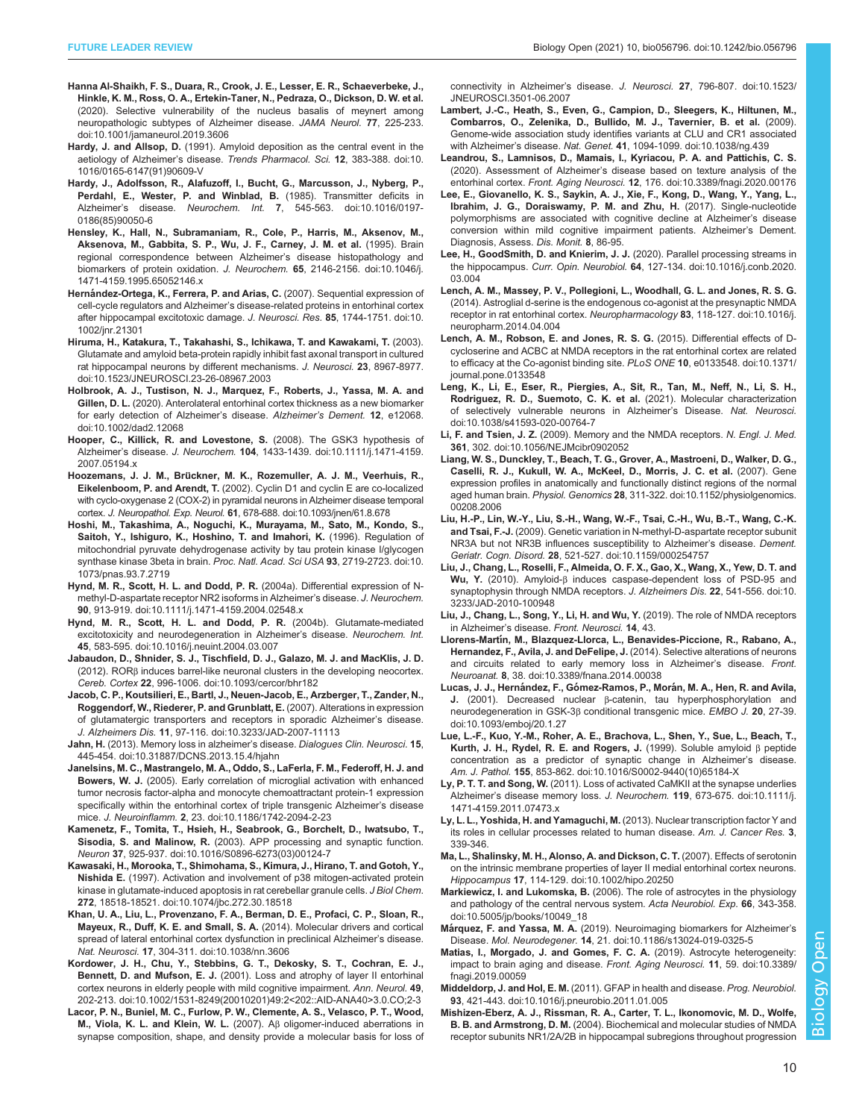- <span id="page-9-0"></span>[Hanna Al-Shaikh, F. S., Duara, R., Crook, J. E., Lesser, E. R., Schaeverbeke, J.,](https://doi.org/10.1001/jamaneurol.2019.3606) [Hinkle, K. M., Ross, O. A., Ertekin-Taner, N., Pedraza, O., Dickson, D. W. et al.](https://doi.org/10.1001/jamaneurol.2019.3606) [\(2020\). Selective vulnerability of the nucleus basalis of meynert among](https://doi.org/10.1001/jamaneurol.2019.3606) [neuropathologic subtypes of Alzheimer disease.](https://doi.org/10.1001/jamaneurol.2019.3606) JAMA Neurol. 77, 225-233. [doi:10.1001/jamaneurol.2019.3606](https://doi.org/10.1001/jamaneurol.2019.3606)
- Hardy, J. and Allsop, D. [\(1991\). Amyloid deposition as the central event in the](https://doi.org/10.1016/0165-6147(91)90609-V) aetiology of Alzheimer's disease. [Trends Pharmacol. Sci.](https://doi.org/10.1016/0165-6147(91)90609-V) 12, 383-388. doi:10. [1016/0165-6147\(91\)90609-V](https://doi.org/10.1016/0165-6147(91)90609-V)
- [Hardy, J., Adolfsson, R., Alafuzoff, I., Bucht, G., Marcusson, J., Nyberg, P.,](https://doi.org/10.1016/0197-0186(85)90050-6) [Perdahl, E., Wester, P. and Winblad, B.](https://doi.org/10.1016/0197-0186(85)90050-6) (1985). Transmitter deficits in Alzheimer's disease. Neurochem. Int. 7[, 545-563. doi:10.1016/0197-](https://doi.org/10.1016/0197-0186(85)90050-6) [0186\(85\)90050-6](https://doi.org/10.1016/0197-0186(85)90050-6)
- [Hensley, K., Hall, N., Subramaniam, R., Cole, P., Harris, M., Aksenov, M.,](https://doi.org/10.1046/j.1471-4159.1995.65052146.x) [Aksenova, M., Gabbita, S. P., Wu, J. F., Carney, J. M. et al.](https://doi.org/10.1046/j.1471-4159.1995.65052146.x) (1995). Brain [regional correspondence between Alzheimer](https://doi.org/10.1046/j.1471-4159.1995.65052146.x)'s disease histopathology and [biomarkers of protein oxidation.](https://doi.org/10.1046/j.1471-4159.1995.65052146.x) J. Neurochem. 65, 2146-2156. doi:10.1046/j. [1471-4159.1995.65052146.x](https://doi.org/10.1046/j.1471-4159.1995.65052146.x)
- Herná[ndez-Ortega, K., Ferrera, P. and Arias, C.](https://doi.org/10.1002/jnr.21301) (2007). Sequential expression of cell-cycle regulators and Alzheimer'[s disease-related proteins in entorhinal cortex](https://doi.org/10.1002/jnr.21301) [after hippocampal excitotoxic damage.](https://doi.org/10.1002/jnr.21301) J. Neurosci. Res. 85, 1744-1751. doi:10. [1002/jnr.21301](https://doi.org/10.1002/jnr.21301)
- [Hiruma, H., Katakura, T., Takahashi, S., Ichikawa, T. and Kawakami, T.](https://doi.org/10.1523/JNEUROSCI.23-26-08967.2003) (2003). [Glutamate and amyloid beta-protein rapidly inhibit fast axonal transport in cultured](https://doi.org/10.1523/JNEUROSCI.23-26-08967.2003) [rat hippocampal neurons by different mechanisms.](https://doi.org/10.1523/JNEUROSCI.23-26-08967.2003) J. Neurosci. 23, 8967-8977. [doi:10.1523/JNEUROSCI.23-26-08967.2003](https://doi.org/10.1523/JNEUROSCI.23-26-08967.2003)
- [Holbrook, A. J., Tustison, N. J., Marquez, F., Roberts, J., Yassa, M. A. and](https://doi.org/10.1002/dad2.12068) Gillen, D. L. [\(2020\). Anterolateral entorhinal cortex thickness as a new biomarker](https://doi.org/10.1002/dad2.12068) [for early detection of Alzheimer](https://doi.org/10.1002/dad2.12068)'s disease. Alzheimer's Dement. 12. e12068. [doi:10.1002/dad2.12068](https://doi.org/10.1002/dad2.12068)
- [Hooper, C., Killick, R. and Lovestone, S.](https://doi.org/10.1111/j.1471-4159.2007.05194.x) (2008). The GSK3 hypothesis of Alzheimer's disease. J. Neurochem. 104[, 1433-1439. doi:10.1111/j.1471-4159.](https://doi.org/10.1111/j.1471-4159.2007.05194.x) [2007.05194.x](https://doi.org/10.1111/j.1471-4159.2007.05194.x)
- Hoozemans, J. J. M., Brü[ckner, M. K., Rozemuller, A. J. M., Veerhuis, R.,](https://doi.org/10.1093/jnen/61.8.678) Eikelenboom, P. and Arendt, T. [\(2002\). Cyclin D1 and cyclin E are co-localized](https://doi.org/10.1093/jnen/61.8.678) [with cyclo-oxygenase 2 \(COX-2\) in pyramidal neurons in Alzheimer disease temporal](https://doi.org/10.1093/jnen/61.8.678) cortex. J. Neuropathol. Exp. Neurol. 61[, 678-688. doi:10.1093/jnen/61.8.678](https://doi.org/10.1093/jnen/61.8.678)
- [Hoshi, M., Takashima, A., Noguchi, K., Murayama, M., Sato, M., Kondo, S.,](https://doi.org/10.1073/pnas.93.7.2719) [Saitoh, Y., Ishiguro, K., Hoshino, T. and Imahori, K.](https://doi.org/10.1073/pnas.93.7.2719) (1996). Regulation of [mitochondrial pyruvate dehydrogenase activity by tau protein kinase I/glycogen](https://doi.org/10.1073/pnas.93.7.2719) [synthase kinase 3beta in brain.](https://doi.org/10.1073/pnas.93.7.2719) Proc. Natl. Acad. Sci USA 93, 2719-2723. doi:10. [1073/pnas.93.7.2719](https://doi.org/10.1073/pnas.93.7.2719)
- [Hynd, M. R., Scott, H. L. and Dodd, P. R.](https://doi.org/10.1111/j.1471-4159.2004.02548.x) (2004a). Differential expression of N[methyl-D-aspartate receptor NR2 isoforms in Alzheimer](https://doi.org/10.1111/j.1471-4159.2004.02548.x)'s disease. J. Neurochem. 90[, 913-919. doi:10.1111/j.1471-4159.2004.02548.x](https://doi.org/10.1111/j.1471-4159.2004.02548.x)
- [Hynd, M. R., Scott, H. L. and Dodd, P. R.](https://doi.org/10.1016/j.neuint.2004.03.007) (2004b). Glutamate-mediated [excitotoxicity and neurodegeneration in Alzheimer](https://doi.org/10.1016/j.neuint.2004.03.007)'s disease. Neurochem. Int. 45[, 583-595. doi:10.1016/j.neuint.2004.03.007](https://doi.org/10.1016/j.neuint.2004.03.007)
- [Jabaudon, D., Shnider, S. J., Tischfield, D. J., Galazo, M. J. and MacKlis, J. D.](https://doi.org/10.1093/cercor/bhr182) (2012). RORβ [induces barrel-like neuronal clusters in the developing neocortex.](https://doi.org/10.1093/cercor/bhr182) Cereb. Cortex 22[, 996-1006. doi:10.1093/cercor/bhr182](https://doi.org/10.1093/cercor/bhr182)
- [Jacob, C. P., Koutsilieri, E., Bartl, J., Neuen-Jacob, E., Arzberger, T., Zander, N.,](https://doi.org/10.3233/JAD-2007-11113) [Roggendorf, W., Riederer, P. and Grunblatt, E.](https://doi.org/10.3233/JAD-2007-11113) (2007). Alterations in expression [of glutamatergic transporters and receptors in sporadic Alzheimer](https://doi.org/10.3233/JAD-2007-11113)'s disease. J. Alzheimers Dis. 11[, 97-116. doi:10.3233/JAD-2007-11113](https://doi.org/10.3233/JAD-2007-11113)
- Jahn, H. [\(2013\). Memory loss in alzheimer](https://doi.org/10.31887/DCNS.2013.15.4/hjahn)'s disease. Dialogues Clin. Neurosci. 15, [445-454. doi:10.31887/DCNS.2013.15.4/hjahn](https://doi.org/10.31887/DCNS.2013.15.4/hjahn)
- [Janelsins, M. C., Mastrangelo, M. A., Oddo, S., LaFerla, F. M., Federoff, H. J. and](https://doi.org/10.1186/1742-2094-2-23) Bowers, W. J. [\(2005\). Early correlation of microglial activation with enhanced](https://doi.org/10.1186/1742-2094-2-23) [tumor necrosis factor-alpha and monocyte chemoattractant protein-1 expression](https://doi.org/10.1186/1742-2094-2-23) [specifically within the entorhinal cortex of triple transgenic Alzheimer](https://doi.org/10.1186/1742-2094-2-23)'s disease mice. J. Neuroinflamm. 2[, 23. doi:10.1186/1742-2094-2-23](https://doi.org/10.1186/1742-2094-2-23)
- [Kamenetz, F., Tomita, T., Hsieh, H., Seabrook, G., Borchelt, D., Iwatsubo, T.,](https://doi.org/10.1016/S0896-6273(03)00124-7) Sisodia, S. and Malinow, R. [\(2003\). APP processing and synaptic function.](https://doi.org/10.1016/S0896-6273(03)00124-7) Neuron 37[, 925-937. doi:10.1016/S0896-6273\(03\)00124-7](https://doi.org/10.1016/S0896-6273(03)00124-7)
- [Kawasaki, H., Morooka, T., Shimohama, S., Kimura, J., Hirano, T. and Gotoh, Y.,](http://dx.doi.org/10.1074/jbc.272.30.18518) Nishida E. [\(1997\). Activation and involvement of p38 mitogen-activated protein](http://dx.doi.org/10.1074/jbc.272.30.18518) [kinase in glutamate-induced apoptosis in rat cerebellar granule cells.](http://dx.doi.org/10.1074/jbc.272.30.18518) J Biol Chem. 272[, 18518-18521. doi:10.1074/jbc.272.30.18518](http://dx.doi.org/10.1074/jbc.272.30.18518)
- [Khan, U. A., Liu, L., Provenzano, F. A., Berman, D. E., Profaci, C. P., Sloan, R.,](https://doi.org/10.1038/nn.3606) [Mayeux, R., Duff, K. E. and Small, S. A.](https://doi.org/10.1038/nn.3606) (2014). Molecular drivers and cortical [spread of lateral entorhinal cortex dysfunction in preclinical Alzheimer](https://doi.org/10.1038/nn.3606)'s disease. Nat. Neurosci. 17[, 304-311. doi:10.1038/nn.3606](https://doi.org/10.1038/nn.3606)
- [Kordower, J. H., Chu, Y., Stebbins, G. T., Dekosky, S. T., Cochran, E. J.,](https://doi.org/10.1002/1531-8249(20010201)49:2%3C202::AID-ANA40%3E3.0.CO;2-3) Bennett, D. and Mufson, E. J. [\(2001\). Loss and atrophy of layer II entorhinal](https://doi.org/10.1002/1531-8249(20010201)49:2%3C202::AID-ANA40%3E3.0.CO;2-3) [cortex neurons in elderly people with mild cognitive impairment.](https://doi.org/10.1002/1531-8249(20010201)49:2%3C202::AID-ANA40%3E3.0.CO;2-3) Ann. Neurol. 49, [202-213. doi:10.1002/1531-8249\(20010201\)49:2<202::AID-ANA40>3.0.CO;2-3](https://doi.org/10.1002/1531-8249(20010201)49:2%3C202::AID-ANA40%3E3.0.CO;2-3)
- [Lacor, P. N., Buniel, M. C., Furlow, P. W., Clemente, A. S., Velasco, P. T., Wood,](https://doi.org/10.1523/JNEUROSCI.3501-06.2007) [M., Viola, K. L. and Klein, W. L.](https://doi.org/10.1523/JNEUROSCI.3501-06.2007) (2007). Aβ oligomer-induced aberrations in [synapse composition, shape, and density provide a molecular basis for loss of](https://doi.org/10.1523/JNEUROSCI.3501-06.2007)

[connectivity in Alzheimer](https://doi.org/10.1523/JNEUROSCI.3501-06.2007)'s disease. J. Neurosci. 27, 796-807. doi:10.1523/ [JNEUROSCI.3501-06.2007](https://doi.org/10.1523/JNEUROSCI.3501-06.2007)

- [Lambert, J.-C., Heath, S., Even, G., Campion, D., Sleegers, K., Hiltunen, M.,](https://doi.org/10.1038/ng.439) [Combarros, O., Zelenika, D., Bullido, M. J., Tavernier, B. et al.](https://doi.org/10.1038/ng.439) (2009). [Genome-wide association study identifies variants at CLU and CR1 associated](https://doi.org/10.1038/ng.439) with Alzheimer's disease. Nat. Genet. 41[, 1094-1099. doi:10.1038/ng.439](https://doi.org/10.1038/ng.439)
- [Leandrou, S., Lamnisos, D., Mamais, I., Kyriacou, P. A. and Pattichis, C. S.](https://doi.org/10.3389/fnagi.2020.00176) (2020). Assessment of Alzheimer'[s disease based on texture analysis of the](https://doi.org/10.3389/fnagi.2020.00176) entorhinal cortex. Front. Aging Neurosci. 12[, 176. doi:10.3389/fnagi.2020.00176](https://doi.org/10.3389/fnagi.2020.00176)
- Lee, E., Giovanello, K. S., Saykin, A. J., Xie, F., Kong, D., Wang, Y., Yang, L., Ibrahim, J. G., Doraiswamy, P. M. and Zhu, H. (2017). Single-nucleotide polymorphisms are associated with cognitive decline at Alzheimer's disease conversion within mild cognitive impairment patients. Alzheimer's Dement. Diagnosis, Assess. Dis. Monit. 8, 86-95.
- [Lee, H., GoodSmith, D. and Knierim, J. J.](https://doi.org/10.1016/j.conb.2020.03.004) (2020). Parallel processing streams in the hippocampus. Curr. Opin. Neurobiol. 64[, 127-134. doi:10.1016/j.conb.2020.](https://doi.org/10.1016/j.conb.2020.03.004) [03.004](https://doi.org/10.1016/j.conb.2020.03.004)
- [Lench, A. M., Massey, P. V., Pollegioni, L., Woodhall, G. L. and Jones, R. S. G.](https://doi.org/10.1016/j.neuropharm.2014.04.004) [\(2014\). Astroglial d-serine is the endogenous co-agonist at the presynaptic NMDA](https://doi.org/10.1016/j.neuropharm.2014.04.004) [receptor in rat entorhinal cortex.](https://doi.org/10.1016/j.neuropharm.2014.04.004) Neuropharmacology 83, 118-127. doi:10.1016/j. [neuropharm.2014.04.004](https://doi.org/10.1016/j.neuropharm.2014.04.004)
- [Lench, A. M., Robson, E. and Jones, R. S. G.](https://doi.org/10.1371/journal.pone.0133548) (2015). Differential effects of D[cycloserine and ACBC at NMDA receptors in the rat entorhinal cortex are related](https://doi.org/10.1371/journal.pone.0133548) [to efficacy at the Co-agonist binding site.](https://doi.org/10.1371/journal.pone.0133548) PLoS ONE 10, e0133548. doi:10.1371/ [journal.pone.0133548](https://doi.org/10.1371/journal.pone.0133548)
- [Leng, K., Li, E., Eser, R., Piergies, A., Sit, R., Tan, M., Neff, N., Li, S. H.,](https://doi.org/10.1038/s41593-020-00764-7) [Rodriguez, R. D., Suemoto, C. K. et al.](https://doi.org/10.1038/s41593-020-00764-7) (2021). Molecular characterization [of selectively vulnerable neurons in Alzheimer](https://doi.org/10.1038/s41593-020-00764-7)'s Disease. Nat. Neurosci. [doi:10.1038/s41593-020-00764-7](https://doi.org/10.1038/s41593-020-00764-7)
- Li, F. and Tsien, J. Z. [\(2009\). Memory and the NMDA receptors.](https://doi.org/10.1056/NEJMcibr0902052) N. Engl. J. Med. 361[, 302. doi:10.1056/NEJMcibr0902052](https://doi.org/10.1056/NEJMcibr0902052)
- [Liang, W. S., Dunckley, T., Beach, T. G., Grover, A., Mastroeni, D., Walker, D. G.,](https://doi.org/10.1152/physiolgenomics.00208.2006) [Caselli, R. J., Kukull, W. A., McKeel, D., Morris, J. C. et al.](https://doi.org/10.1152/physiolgenomics.00208.2006) (2007). Gene [expression profiles in anatomically and functionally distinct regions of the normal](https://doi.org/10.1152/physiolgenomics.00208.2006) aged human brain. Physiol. Genomics 28[, 311-322. doi:10.1152/physiolgenomics.](https://doi.org/10.1152/physiolgenomics.00208.2006) [00208.2006](https://doi.org/10.1152/physiolgenomics.00208.2006)
- [Liu, H.-P., Lin, W.-Y., Liu, S.-H., Wang, W.-F., Tsai, C.-H., Wu, B.-T., Wang, C.-K.](https://doi.org/10.1159/000254757) and Tsai, F.-J. [\(2009\). Genetic variation in N-methyl-D-aspartate receptor subunit](https://doi.org/10.1159/000254757) [NR3A but not NR3B influences susceptibility to Alzheimer](https://doi.org/10.1159/000254757)'s disease. Dement. Geriatr. Cogn. Disord. 28[, 521-527. doi:10.1159/000254757](https://doi.org/10.1159/000254757)
- [Liu, J., Chang, L., Roselli, F., Almeida, O. F. X., Gao, X., Wang, X., Yew, D. T. and](https://doi.org/10.3233/JAD-2010-100948) Wu, Y. (2010). Amyloid-β [induces caspase-dependent loss of PSD-95 and](https://doi.org/10.3233/JAD-2010-100948) [synaptophysin through NMDA receptors.](https://doi.org/10.3233/JAD-2010-100948) J. Alzheimers Dis. 22, 541-556. doi:10. [3233/JAD-2010-100948](https://doi.org/10.3233/JAD-2010-100948)
- Liu, J., Chang, L., Song, Y., Li, H. and Wu, Y. (2019). The role of NMDA receptors in Alzheimer's disease. Front. Neurosci. 14, 43.
- Llorens-Martí[n, M., Blazquez-Llorca, L., Benavides-Piccione, R., Rabano, A.,](https://doi.org/10.3389/fnana.2014.00038) [Hernandez, F., Avila, J. and DeFelipe, J.](https://doi.org/10.3389/fnana.2014.00038) (2014). Selective alterations of neurons [and circuits related to early memory loss in Alzheimer](https://doi.org/10.3389/fnana.2014.00038)'s disease. Front. Neuroanat. 8[, 38. doi:10.3389/fnana.2014.00038](https://doi.org/10.3389/fnana.2014.00038)
- Lucas, J. J., Hernández, F., Gómez-Ramos, P., Morá[n, M. A., Hen, R. and Avila,](https://doi.org/10.1093/emboj/20.1.27) J. (2001). Decreased nuclear β[-catenin, tau hyperphosphorylation and](https://doi.org/10.1093/emboj/20.1.27) [neurodegeneration in GSK-3](https://doi.org/10.1093/emboj/20.1.27)β conditional transgenic mice. EMBO J. 20, 27-39. [doi:10.1093/emboj/20.1.27](https://doi.org/10.1093/emboj/20.1.27)
- [Lue, L.-F., Kuo, Y.-M., Roher, A. E., Brachova, L., Shen, Y., Sue, L., Beach, T.,](https://doi.org/10.1016/S0002-9440(10)65184-X) [Kurth, J. H., Rydel, R. E. and Rogers, J.](https://doi.org/10.1016/S0002-9440(10)65184-X) (1999). Soluble amyloid β peptide [concentration as a predictor of synaptic change in Alzheimer](https://doi.org/10.1016/S0002-9440(10)65184-X)'s disease. Am. J. Pathol. 155[, 853-862. doi:10.1016/S0002-9440\(10\)65184-X](https://doi.org/10.1016/S0002-9440(10)65184-X)
- Ly, P. T. T. and Song, W. [\(2011\). Loss of activated CaMKII at the synapse underlies](https://doi.org/10.1111/j.1471-4159.2011.07473.x) Alzheimer's disease memory loss. J. Neurochem. 119[, 673-675. doi:10.1111/j.](https://doi.org/10.1111/j.1471-4159.2011.07473.x) [1471-4159.2011.07473.x](https://doi.org/10.1111/j.1471-4159.2011.07473.x)
- Ly, L. L., Yoshida, H. and Yamaguchi, M. (2013). Nuclear transcription factor Y and its roles in cellular processes related to human disease. Am. J. Cancer Res. 3, 339-346.
- [Ma, L., Shalinsky, M. H., Alonso, A. and Dickson, C. T.](https://doi.org/10.1002/hipo.20250) (2007). Effects of serotonin [on the intrinsic membrane properties of layer II medial entorhinal cortex neurons.](https://doi.org/10.1002/hipo.20250) Hippocampus 17[, 114-129. doi:10.1002/hipo.20250](https://doi.org/10.1002/hipo.20250)
- Markiewicz, I. and Lukomska, B. [\(2006\). The role of astrocytes in the physiology](https://doi.org/10.5005/jp/books/10049_18) [and pathology of the central nervous system.](https://doi.org/10.5005/jp/books/10049_18) Acta Neurobiol. Exp. 66, 343-358. [doi:10.5005/jp/books/10049\\_18](https://doi.org/10.5005/jp/books/10049_18)
- Márquez, F. and Yassa, M. A. [\(2019\). Neuroimaging biomarkers for Alzheimer](https://doi.org/10.1186/s13024-019-0325-5)'s Disease. Mol. Neurodegener. 14[, 21. doi:10.1186/s13024-019-0325-5](https://doi.org/10.1186/s13024-019-0325-5)
- [Matias, I., Morgado, J. and Gomes, F. C. A.](https://doi.org/10.3389/fnagi.2019.00059) (2019). Astrocyte heterogeneity: [impact to brain aging and disease.](https://doi.org/10.3389/fnagi.2019.00059) Front. Aging Neurosci. 11, 59. doi:10.3389/ [fnagi.2019.00059](https://doi.org/10.3389/fnagi.2019.00059)
- Middeldorp, J. and Hol, E. M. [\(2011\). GFAP in health and disease.](https://doi.org/10.1016/j.pneurobio.2011.01.005) Prog. Neurobiol. 93[, 421-443. doi:10.1016/j.pneurobio.2011.01.005](https://doi.org/10.1016/j.pneurobio.2011.01.005)
- [Mishizen-Eberz, A. J., Rissman, R. A., Carter, T. L., Ikonomovic, M. D., Wolfe,](https://doi.org/10.1016/j.nbd.2003.09.016) B. B. and Armstrong, D. M. [\(2004\). Biochemical and molecular studies of NMDA](https://doi.org/10.1016/j.nbd.2003.09.016) [receptor subunits NR1/2A/2B in hippocampal subregions throughout progression](https://doi.org/10.1016/j.nbd.2003.09.016)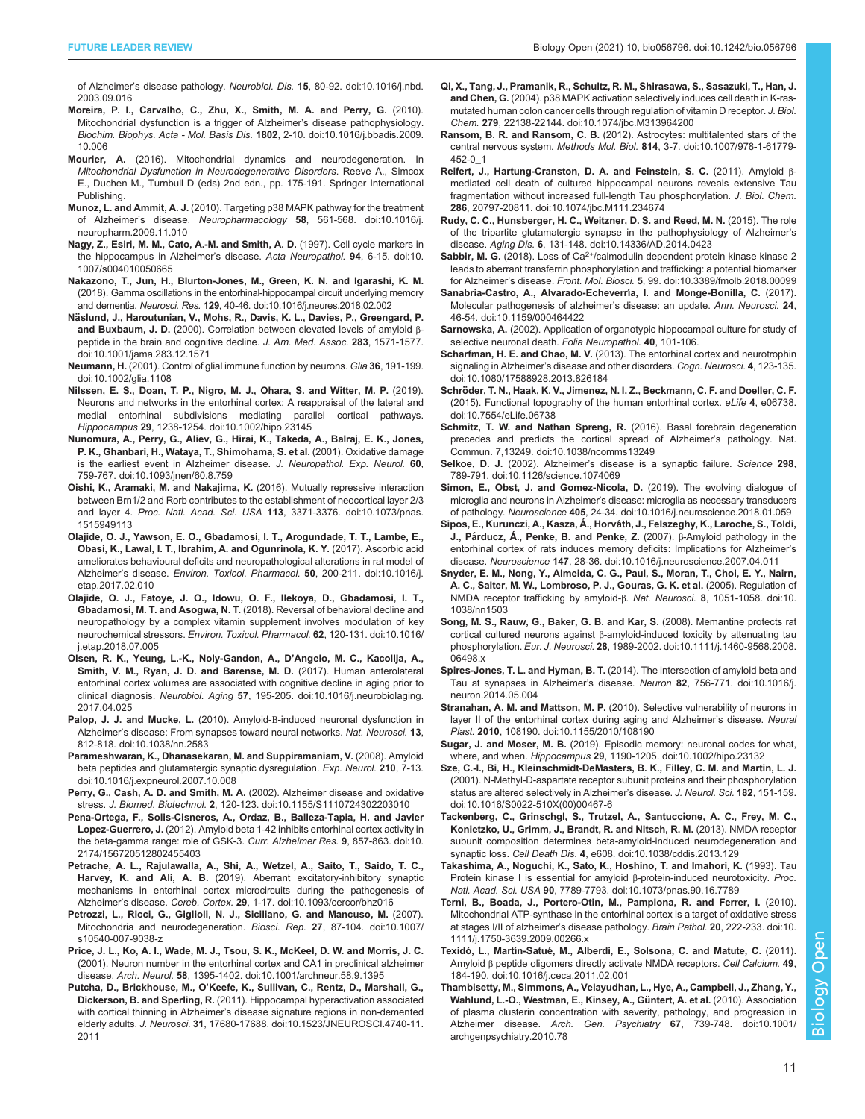<span id="page-10-0"></span>of Alzheimer's disease pathology. Neurobiol. Dis. 15[, 80-92. doi:10.1016/j.nbd.](https://doi.org/10.1016/j.nbd.2003.09.016) [2003.09.016](https://doi.org/10.1016/j.nbd.2003.09.016)

- [Moreira, P. I., Carvalho, C., Zhu, X., Smith, M. A. and Perry, G.](https://doi.org/10.1016/j.bbadis.2009.10.006) (2010). [Mitochondrial dysfunction is a trigger of Alzheimer](https://doi.org/10.1016/j.bbadis.2009.10.006)'s disease pathophysiology. [Biochim. Biophys. Acta - Mol. Basis Dis.](https://doi.org/10.1016/j.bbadis.2009.10.006) 1802, 2-10. doi:10.1016/j.bbadis.2009. [10.006](https://doi.org/10.1016/j.bbadis.2009.10.006)
- Mourier, A. (2016). Mitochondrial dynamics and neurodegeneration. In Mitochondrial Dysfunction in Neurodegenerative Disorders. Reeve A., Simcox E., Duchen M., Turnbull D (eds) 2nd edn., pp. 175-191. Springer International Publishing.
- Munoz, L. and Ammit, A. J. [\(2010\). Targeting p38 MAPK pathway for the treatment](https://doi.org/10.1016/j.neuropharm.2009.11.010) of Alzheimer's disease. Neuropharmacology 58[, 561-568. doi:10.1016/j.](https://doi.org/10.1016/j.neuropharm.2009.11.010) [neuropharm.2009.11.010](https://doi.org/10.1016/j.neuropharm.2009.11.010)
- [Nagy, Z., Esiri, M. M., Cato, A.-M. and Smith, A. D.](https://doi.org/10.1007/s004010050665) (1997). Cell cycle markers in [the hippocampus in Alzheimer](https://doi.org/10.1007/s004010050665)'s disease. Acta Neuropathol. 94, 6-15. doi:10. [1007/s004010050665](https://doi.org/10.1007/s004010050665)
- [Nakazono, T., Jun, H., Blurton-Jones, M., Green, K. N. and Igarashi, K. M.](https://doi.org/10.1016/j.neures.2018.02.002) [\(2018\). Gamma oscillations in the entorhinal-hippocampal circuit underlying memory](https://doi.org/10.1016/j.neures.2018.02.002) and dementia. Neurosci. Res. 129[, 40-46. doi:10.1016/j.neures.2018.02.002](https://doi.org/10.1016/j.neures.2018.02.002)
- Nä[slund, J., Haroutunian, V., Mohs, R., Davis, K. L., Davies, P., Greengard, P.](https://doi.org/10.1001/jama.283.12.1571) and Buxbaum, J. D. [\(2000\). Correlation between elevated levels of amyloid](https://doi.org/10.1001/jama.283.12.1571) β[peptide in the brain and cognitive decline.](https://doi.org/10.1001/jama.283.12.1571) J. Am. Med. Assoc. 283, 1571-1577. [doi:10.1001/jama.283.12.1571](https://doi.org/10.1001/jama.283.12.1571)
- Neumann, H. [\(2001\). Control of glial immune function by neurons.](https://doi.org/10.1002/glia.1108) Glia 36, 191-199. [doi:10.1002/glia.1108](https://doi.org/10.1002/glia.1108)
- [Nilssen, E. S., Doan, T. P., Nigro, M. J., Ohara, S. and Witter, M. P.](https://doi.org/10.1002/hipo.23145) (2019). [Neurons and networks in the entorhinal cortex: A reappraisal of the lateral and](https://doi.org/10.1002/hipo.23145) [medial entorhinal subdivisions mediating parallel cortical pathways.](https://doi.org/10.1002/hipo.23145) Hippocampus 29[, 1238-1254. doi:10.1002/hipo.23145](https://doi.org/10.1002/hipo.23145)
- [Nunomura, A., Perry, G., Aliev, G., Hirai, K., Takeda, A., Balraj, E. K., Jones,](https://doi.org/10.1093/jnen/60.8.759) [P. K., Ghanbari, H., Wataya, T., Shimohama, S. et al.](https://doi.org/10.1093/jnen/60.8.759) (2001). Oxidative damage [is the earliest event in Alzheimer disease.](https://doi.org/10.1093/jnen/60.8.759) J. Neuropathol. Exp. Neurol. 60, [759-767. doi:10.1093/jnen/60.8.759](https://doi.org/10.1093/jnen/60.8.759)
- [Oishi, K., Aramaki, M. and Nakajima, K.](https://doi.org/10.1073/pnas.1515949113) (2016). Mutually repressive interaction [between Brn1/2 and Rorb contributes to the establishment of neocortical layer 2/3](https://doi.org/10.1073/pnas.1515949113) and layer 4. Proc. Natl. Acad. Sci. USA 113[, 3371-3376. doi:10.1073/pnas.](https://doi.org/10.1073/pnas.1515949113) [1515949113](https://doi.org/10.1073/pnas.1515949113)
- [Olajide, O. J., Yawson, E. O., Gbadamosi, I. T., Arogundade, T. T., Lambe, E.,](https://doi.org/10.1016/j.etap.2017.02.010) [Obasi, K., Lawal, I. T., Ibrahim, A. and Ogunrinola, K. Y.](https://doi.org/10.1016/j.etap.2017.02.010) (2017). Ascorbic acid [ameliorates behavioural deficits and neuropathological alterations in rat model of](https://doi.org/10.1016/j.etap.2017.02.010) Alzheimer's disease. [Environ. Toxicol. Pharmacol.](https://doi.org/10.1016/j.etap.2017.02.010) 50, 200-211. doi:10.1016/j. [etap.2017.02.010](https://doi.org/10.1016/j.etap.2017.02.010)
- [Olajide, O. J., Fatoye, J. O., Idowu, O. F., Ilekoya, D., Gbadamosi, I. T.,](https://doi.org/10.1016/j.etap.2018.07.005) Gbadamosi, M. T. and Asogwa, N. T. [\(2018\). Reversal of behavioral decline and](https://doi.org/10.1016/j.etap.2018.07.005) [neuropathology by a complex vitamin supplement involves modulation of key](https://doi.org/10.1016/j.etap.2018.07.005) neurochemical stressors. [Environ. Toxicol. Pharmacol.](https://doi.org/10.1016/j.etap.2018.07.005) 62, 120-131. doi:10.1016/ [j.etap.2018.07.005](https://doi.org/10.1016/j.etap.2018.07.005)
- [Olsen, R. K., Yeung, L.-K., Noly-Gandon, A., D](https://doi.org/10.1016/j.neurobiolaging.2017.04.025)'Angelo, M. C., Kacollja, A., [Smith, V. M., Ryan, J. D. and Barense, M. D.](https://doi.org/10.1016/j.neurobiolaging.2017.04.025) (2017). Human anterolateral [entorhinal cortex volumes are associated with cognitive decline in aging prior to](https://doi.org/10.1016/j.neurobiolaging.2017.04.025) clinical diagnosis. Neurobiol. Aging 57[, 195-205. doi:10.1016/j.neurobiolaging.](https://doi.org/10.1016/j.neurobiolaging.2017.04.025) [2017.04.025](https://doi.org/10.1016/j.neurobiolaging.2017.04.025)
- Palop, J. J. and Mucke, L. (2010). Amyloid-B[-induced neuronal dysfunction in](https://doi.org/10.1038/nn.2583) Alzheimer'[s disease: From synapses toward neural networks.](https://doi.org/10.1038/nn.2583) Nat. Neurosci. 13, [812-818. doi:10.1038/nn.2583](https://doi.org/10.1038/nn.2583)
- [Parameshwaran, K., Dhanasekaran, M. and Suppiramaniam, V.](https://doi.org/10.1016/j.expneurol.2007.10.008) (2008). Amyloid [beta peptides and glutamatergic synaptic dysregulation.](https://doi.org/10.1016/j.expneurol.2007.10.008) Exp. Neurol. 210, 7-13. [doi:10.1016/j.expneurol.2007.10.008](https://doi.org/10.1016/j.expneurol.2007.10.008)
- [Perry, G., Cash, A. D. and Smith, M. A.](http://dx.doi.org/10.1155/S1110724302203010) (2002). Alzheimer disease and oxidative stress. J. Biomed. Biotechnol. 2[, 120-123. doi:10.1155/S1110724302203010](http://dx.doi.org/10.1155/S1110724302203010)
- [Pena-Ortega, F., Solis-Cisneros, A., Ordaz, B., Balleza-Tapia, H. and Javier](https://doi.org/10.2174/156720512802455403) Lopez-Guerrero, J. [\(2012\). Amyloid beta 1-42 inhibits entorhinal cortex activity in](https://doi.org/10.2174/156720512802455403) [the beta-gamma range: role of GSK-3.](https://doi.org/10.2174/156720512802455403) Curr. Alzheimer Res. 9, 857-863. doi:10. [2174/156720512802455403](https://doi.org/10.2174/156720512802455403)
- [Petrache, A. L., Rajulawalla, A., Shi, A., Wetzel, A., Saito, T., Saido, T. C.,](https://doi.org/10.1093/cercor/bhz016) Harvey, K. and Ali, A. B. [\(2019\). Aberrant excitatory-inhibitory synaptic](https://doi.org/10.1093/cercor/bhz016) [mechanisms in entorhinal cortex microcircuits during the pathogenesis of](https://doi.org/10.1093/cercor/bhz016) Alzheimer's disease. Cereb. Cortex. 29[, 1-17. doi:10.1093/cercor/bhz016](https://doi.org/10.1093/cercor/bhz016)
- [Petrozzi, L., Ricci, G., Giglioli, N. J., Siciliano, G. and Mancuso, M.](https://doi.org/10.1007/s10540-007-9038-z) (2007). [Mitochondria and neurodegeneration.](https://doi.org/10.1007/s10540-007-9038-z) Biosci. Rep. 27, 87-104. doi:10.1007/ [s10540-007-9038-z](https://doi.org/10.1007/s10540-007-9038-z)
- [Price, J. L., Ko, A. I., Wade, M. J., Tsou, S. K., McKeel, D. W. and Morris, J. C.](https://doi.org/10.1001/archneur.58.9.1395) [\(2001\). Neuron number in the entorhinal cortex and CA1 in preclinical alzheimer](https://doi.org/10.1001/archneur.58.9.1395) disease. Arch. Neurol. 58[, 1395-1402. doi:10.1001/archneur.58.9.1395](https://doi.org/10.1001/archneur.58.9.1395)
- Putcha, D., Brickhouse, M., O'[Keefe, K., Sullivan, C., Rentz, D., Marshall, G.,](https://doi.org/10.1523/JNEUROSCI.4740-11.2011) Dickerson, B. and Sperling, R. [\(2011\). Hippocampal hyperactivation associated](https://doi.org/10.1523/JNEUROSCI.4740-11.2011) with cortical thinning in Alzheimer'[s disease signature regions in non-demented](https://doi.org/10.1523/JNEUROSCI.4740-11.2011) elderly adults. J. Neurosci. 31[, 17680-17688. doi:10.1523/JNEUROSCI.4740-11.](https://doi.org/10.1523/JNEUROSCI.4740-11.2011) [2011](https://doi.org/10.1523/JNEUROSCI.4740-11.2011)
- [Qi, X., Tang, J., Pramanik, R., Schultz, R. M., Shirasawa, S., Sasazuki, T., Han, J.](https://doi.org/10.1074/jbc.M313964200) and Chen, G. [\(2004\). p38 MAPK activation selectively induces cell death in K-ras](https://doi.org/10.1074/jbc.M313964200)[mutated human colon cancer cells through regulation of vitamin D receptor.](https://doi.org/10.1074/jbc.M313964200) J. Biol. Chem. 279[, 22138-22144. doi:10.1074/jbc.M313964200](https://doi.org/10.1074/jbc.M313964200)
- Ransom, B. R. and Ransom, C. B. [\(2012\). Astrocytes: multitalented stars of the](https://doi.org/10.1007/978-1-61779-452-0_1) central nervous system. Methods Mol. Biol. 814[, 3-7. doi:10.1007/978-1-61779-](https://doi.org/10.1007/978-1-61779-452-0_1) [452-0\\_1](https://doi.org/10.1007/978-1-61779-452-0_1)
- [Reifert, J., Hartung-Cranston, D. A. and Feinstein, S. C.](https://doi.org/10.1074/jbc.M111.234674) (2011). Amyloid β[mediated cell death of cultured hippocampal neurons reveals extensive Tau](https://doi.org/10.1074/jbc.M111.234674) [fragmentation without increased full-length Tau phosphorylation.](https://doi.org/10.1074/jbc.M111.234674) J. Biol. Chem. 286[, 20797-20811. doi:10.1074/jbc.M111.234674](https://doi.org/10.1074/jbc.M111.234674)
- [Rudy, C. C., Hunsberger, H. C., Weitzner, D. S. and Reed, M. N.](https://doi.org/10.14336/AD.2014.0423) (2015). The role [of the tripartite glutamatergic synapse in the pathophysiology of Alzheimer](https://doi.org/10.14336/AD.2014.0423)'s disease. Aging Dis. 6[, 131-148. doi:10.14336/AD.2014.0423](https://doi.org/10.14336/AD.2014.0423)
- Sabbir, M. G. [\(2018\).](https://doi.org/10.3389/fmolb.2018.00099) [Loss](https://doi.org/10.3389/fmolb.2018.00099) [of](https://doi.org/10.3389/fmolb.2018.00099) [Ca](https://doi.org/10.3389/fmolb.2018.00099)<sup>2+</sup>/calmodulin dependent protein kinase kinase 2 [leads to aberrant transferrin phosphorylation and trafficking: a potential biomarker](https://doi.org/10.3389/fmolb.2018.00099) for Alzheimer's disease. Front. Mol. Biosci. 5[, 99. doi:10.3389/fmolb.2018.00099](https://doi.org/10.3389/fmolb.2018.00099)
- [Sanabria-Castro, A., Alvarado-Echeverr](https://doi.org/10.1159/000464422)ía, I. and Monge-Bonilla, C. (2017). [Molecular pathogenesis of alzheimer](https://doi.org/10.1159/000464422)'s disease: an update. Ann. Neurosci. 24, [46-54. doi:10.1159/000464422](https://doi.org/10.1159/000464422)
- Sarnowska, A. (2002). Application of organotypic hippocampal culture for study of selective neuronal death. Folia Neuropathol. 40, 101-106.
- Scharfman, H. E. and Chao, M. V. [\(2013\). The entorhinal cortex and neurotrophin](https://doi.org/10.1080/17588928.2013.826184) signaling in Alzheimer'[s disease and other disorders.](https://doi.org/10.1080/17588928.2013.826184) Cogn. Neurosci. 4, 123-135. [doi:10.1080/17588928.2013.826184](https://doi.org/10.1080/17588928.2013.826184)
- Schrö[der, T. N., Haak, K. V., Jimenez, N. I. Z., Beckmann, C. F. and Doeller, C. F.](https://doi.org/10.7554/eLife.06738) [\(2015\). Functional topography of the human entorhinal cortex.](https://doi.org/10.7554/eLife.06738) eLife 4, e06738. [doi:10.7554/eLife.06738](https://doi.org/10.7554/eLife.06738)
- [Schmitz, T. W. and Nathan Spreng, R.](http://dx.doi.org/10.1038/ncomms13249) (2016). Basal forebrain degeneration [precedes and predicts the cortical spread of Alzheimer](http://dx.doi.org/10.1038/ncomms13249)'s pathology. Nat. [Commun. 7,13249. doi:10.1038/ncomms13249](http://dx.doi.org/10.1038/ncomms13249)
- Selkoe, D. J. (2002). Alzheimer'[s disease is a synaptic failure.](https://doi.org/10.1126/science.1074069) Science 298, [789-791. doi:10.1126/science.1074069](https://doi.org/10.1126/science.1074069)
- [Simon, E., Obst, J. and Gomez-Nicola, D.](https://doi.org/10.1016/j.neuroscience.2018.01.059) (2019). The evolving dialogue of microglia and neurons in Alzheimer'[s disease: microglia as necessary transducers](https://doi.org/10.1016/j.neuroscience.2018.01.059) of pathology. Neuroscience 405[, 24-34. doi:10.1016/j.neuroscience.2018.01.059](https://doi.org/10.1016/j.neuroscience.2018.01.059)
- Sipos, E., Kurunczi, A., Kasza, Á., Horváth, J., Felszeghy, K., Laroche, S., Toldi, J., Pá[rducz, Á., Penke, B. and Penke, Z.](https://doi.org/10.1016/j.neuroscience.2007.04.011) (2007). β-Amyloid pathology in the [entorhinal cortex of rats induces memory deficits: Implications for Alzheimer](https://doi.org/10.1016/j.neuroscience.2007.04.011)'s disease. Neuroscience 147[, 28-36. doi:10.1016/j.neuroscience.2007.04.011](https://doi.org/10.1016/j.neuroscience.2007.04.011)
- [Snyder, E. M., Nong, Y., Almeida, C. G., Paul, S., Moran, T., Choi, E. Y., Nairn,](https://doi.org/10.1038/nn1503) [A. C., Salter, M. W., Lombroso, P. J., Gouras, G. K. et al.](https://doi.org/10.1038/nn1503) (2005). Regulation of [NMDA receptor trafficking by amyloid-](https://doi.org/10.1038/nn1503)β. Nat. Neurosci. 8, 1051-1058. doi:10. [1038/nn1503](https://doi.org/10.1038/nn1503)
- [Song, M. S., Rauw, G., Baker, G. B. and Kar, S.](https://doi.org/10.1111/j.1460-9568.2008.06498.x) (2008). Memantine protects rat cortical cultured neurons against β[-amyloid-induced toxicity by attenuating tau](https://doi.org/10.1111/j.1460-9568.2008.06498.x) phosphorylation. Eur. J. Neurosci. 28[, 1989-2002. doi:10.1111/j.1460-9568.2008.](https://doi.org/10.1111/j.1460-9568.2008.06498.x) [06498.x](https://doi.org/10.1111/j.1460-9568.2008.06498.x)
- Spires-Jones, T. L. and Hyman, B. T. [\(2014\). The intersection of amyloid beta and](https://doi.org/10.1016/j.neuron.2014.05.004) [Tau at synapses in Alzheimer](https://doi.org/10.1016/j.neuron.2014.05.004)'s disease. Neuron 82, 756-771. doi:10.1016/j. [neuron.2014.05.004](https://doi.org/10.1016/j.neuron.2014.05.004)
- Stranahan, A. M. and Mattson, M. P. [\(2010\). Selective vulnerability of neurons in](https://doi.org/10.1155/2010/108190) [layer II of the entorhinal cortex during aging and Alzheimer](https://doi.org/10.1155/2010/108190)'s disease. Neural Plast. 2010[, 108190. doi:10.1155/2010/108190](https://doi.org/10.1155/2010/108190)
- Sugar, J. and Moser, M. B. [\(2019\). Episodic memory: neuronal codes for what,](https://doi.org/10.1002/hipo.23132) where, and when. Hippocampus 29[, 1190-1205. doi:10.1002/hipo.23132](https://doi.org/10.1002/hipo.23132)
- [Sze, C.-I., Bi, H., Kleinschmidt-DeMasters, B. K., Filley, C. M. and Martin, L. J.](https://doi.org/10.1016/S0022-510X(00)00467-6) [\(2001\). N-Methyl-D-aspartate receptor subunit proteins and their phosphorylation](https://doi.org/10.1016/S0022-510X(00)00467-6) [status are altered selectively in Alzheimer](https://doi.org/10.1016/S0022-510X(00)00467-6)'s disease. J. Neurol. Sci. 182, 151-159. [doi:10.1016/S0022-510X\(00\)00467-6](https://doi.org/10.1016/S0022-510X(00)00467-6)
- [Tackenberg, C., Grinschgl, S., Trutzel, A., Santuccione, A. C., Frey, M. C.,](https://doi.org/10.1038/cddis.2013.129) [Konietzko, U., Grimm, J., Brandt, R. and Nitsch, R. M.](https://doi.org/10.1038/cddis.2013.129) (2013). NMDA receptor [subunit composition determines beta-amyloid-induced neurodegeneration and](https://doi.org/10.1038/cddis.2013.129) synaptic loss. Cell Death Dis. 4[, e608. doi:10.1038/cddis.2013.129](https://doi.org/10.1038/cddis.2013.129)
- [Takashima, A., Noguchi, K., Sato, K., Hoshino, T. and Imahori, K.](https://doi.org/10.1073/pnas.90.16.7789) (1993). Tau [Protein kinase I is essential for amyloid](https://doi.org/10.1073/pnas.90.16.7789) β-protein-induced neurotoxicity. Proc. Natl. Acad. Sci. USA 90[, 7789-7793. doi:10.1073/pnas.90.16.7789](https://doi.org/10.1073/pnas.90.16.7789)
- [Terni, B., Boada, J., Portero-Otin, M., Pamplona, R. and Ferrer, I.](https://doi.org/10.1111/j.1750-3639.2009.00266.x) (2010). [Mitochondrial ATP-synthase in the entorhinal cortex is a target of oxidative stress](https://doi.org/10.1111/j.1750-3639.2009.00266.x) [at stages I/II of alzheimer](https://doi.org/10.1111/j.1750-3639.2009.00266.x)'s disease pathology. Brain Pathol. 20, 222-233. doi:10. [1111/j.1750-3639.2009.00266.x](https://doi.org/10.1111/j.1750-3639.2009.00266.x)
- Texidó, L., Martín-Satué[, M., Alberdi, E., Solsona, C. and Matute, C.](https://doi.org/10.1016/j.ceca.2011.02.001) (2011). Amyloid β [peptide oligomers directly activate NMDA receptors.](https://doi.org/10.1016/j.ceca.2011.02.001) Cell Calcium. 49, [184-190. doi:10.1016/j.ceca.2011.02.001](https://doi.org/10.1016/j.ceca.2011.02.001)
- [Thambisetty, M., Simmons, A., Velayudhan, L., Hye, A., Campbell, J., Zhang, Y.,](https://doi.org/10.1001/archgenpsychiatry.2010.78) Wahlund, L.-O., Westman, E., Kinsey, A., Güntert, A. et al. (2010). Association [of plasma clusterin concentration with severity, pathology, and progression in](https://doi.org/10.1001/archgenpsychiatry.2010.78) Alzheimer disease. Arch. Gen. Psychiatry 67[, 739-748. doi:10.1001/](https://doi.org/10.1001/archgenpsychiatry.2010.78) [archgenpsychiatry.2010.78](https://doi.org/10.1001/archgenpsychiatry.2010.78)